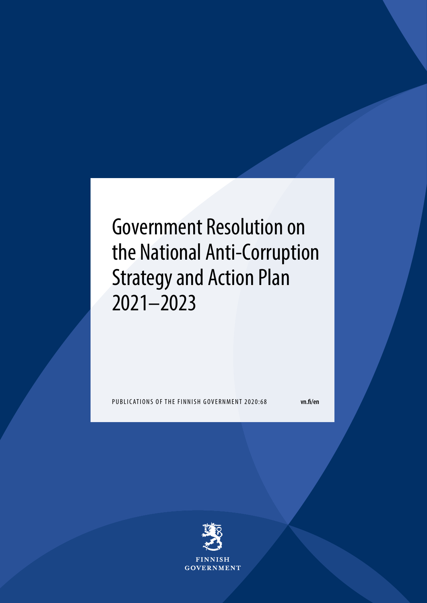# Government Resolution on the National Anti-Corruption Strategy and Action Plan 2021–2023

PUBLICATIONS OF THE FINNISH GOVERNMENT 2020:68 **vn.fi/en**

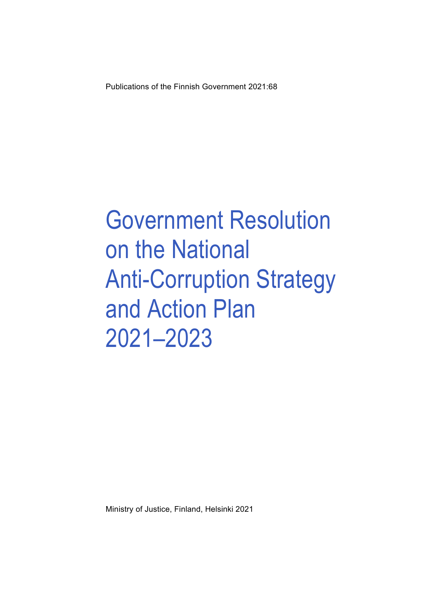Publications of the Finnish Government 2021:68

# Government Resolution on the National Anti-Corruption Strategy and Action Plan 2021–2023

Ministry of Justice, Finland, Helsinki 2021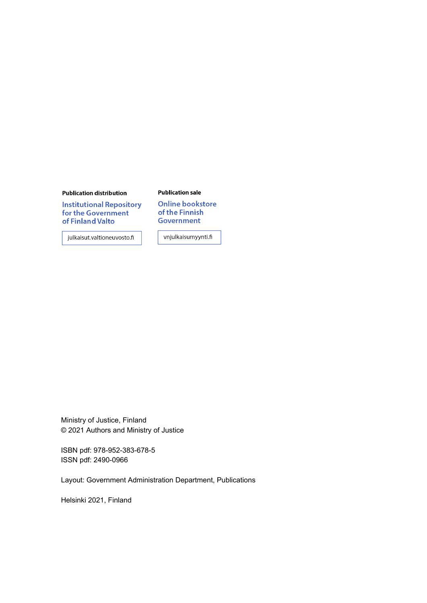#### **Publication distribution**

**Institutional Repository** for the Government of Finland Valto

julkaisut.valtioneuvosto.fi

#### **Publication sale**

**Online bookstore** of the Finnish **Government** 

vnjulkaisumyynti.fi

Ministry of Justice, Finland © 2021 Authors and Ministry of Justice

ISBN pdf: 978-952-383-678-5 ISSN pdf: 2490-0966

Layout: Government Administration Department, Publications

Helsinki 2021, Finland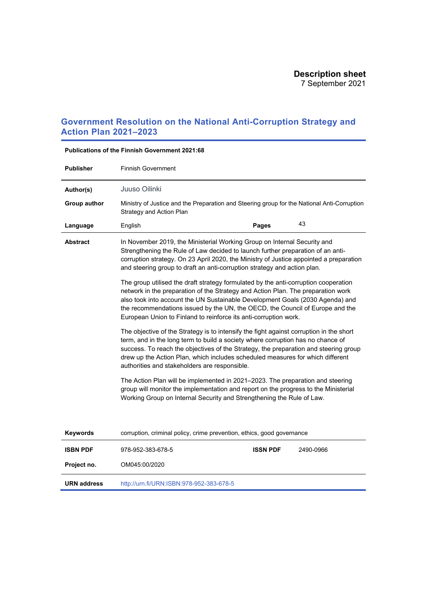## **Government Resolution on the National Anti-Corruption Strategy and Action Plan 2021–2023**

| <b>Publisher</b>   | <b>Finnish Government</b>                                                                                                                                                                                                                                                                                                                                                                                     |                 |           |  |  |  |  |
|--------------------|---------------------------------------------------------------------------------------------------------------------------------------------------------------------------------------------------------------------------------------------------------------------------------------------------------------------------------------------------------------------------------------------------------------|-----------------|-----------|--|--|--|--|
| Author(s)          | Juuso Oilinki                                                                                                                                                                                                                                                                                                                                                                                                 |                 |           |  |  |  |  |
| Group author       | Ministry of Justice and the Preparation and Steering group for the National Anti-Corruption<br>Strategy and Action Plan                                                                                                                                                                                                                                                                                       |                 |           |  |  |  |  |
| Language           | English                                                                                                                                                                                                                                                                                                                                                                                                       | Pages           | 43        |  |  |  |  |
| <b>Abstract</b>    | In November 2019, the Ministerial Working Group on Internal Security and<br>Strengthening the Rule of Law decided to launch further preparation of an anti-<br>corruption strategy. On 23 April 2020, the Ministry of Justice appointed a preparation<br>and steering group to draft an anti-corruption strategy and action plan.                                                                             |                 |           |  |  |  |  |
|                    | The group utilised the draft strategy formulated by the anti-corruption cooperation<br>network in the preparation of the Strategy and Action Plan. The preparation work<br>also took into account the UN Sustainable Development Goals (2030 Agenda) and<br>the recommendations issued by the UN, the OECD, the Council of Europe and the<br>European Union to Finland to reinforce its anti-corruption work. |                 |           |  |  |  |  |
|                    | The objective of the Strategy is to intensify the fight against corruption in the short<br>term, and in the long term to build a society where corruption has no chance of<br>success. To reach the objectives of the Strategy, the preparation and steering group<br>drew up the Action Plan, which includes scheduled measures for which different<br>authorities and stakeholders are responsible.         |                 |           |  |  |  |  |
|                    | The Action Plan will be implemented in 2021-2023. The preparation and steering<br>group will monitor the implementation and report on the progress to the Ministerial<br>Working Group on Internal Security and Strengthening the Rule of Law.                                                                                                                                                                |                 |           |  |  |  |  |
| <b>Keywords</b>    | corruption, criminal policy, crime prevention, ethics, good governance                                                                                                                                                                                                                                                                                                                                        |                 |           |  |  |  |  |
| <b>ISBN PDF</b>    | 978-952-383-678-5                                                                                                                                                                                                                                                                                                                                                                                             | <b>ISSN PDF</b> | 2490-0966 |  |  |  |  |
| Project no.        | OM045:00/2020                                                                                                                                                                                                                                                                                                                                                                                                 |                 |           |  |  |  |  |
| <b>URN</b> address | http://urn.fi/URN:ISBN:978-952-383-678-5                                                                                                                                                                                                                                                                                                                                                                      |                 |           |  |  |  |  |

### **Publications of the Finnish Government 2021:68**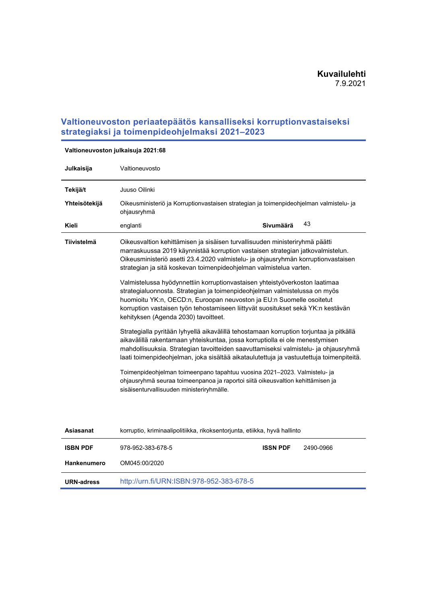## **Valtioneuvoston periaatepäätös kansalliseksi korruptionvastaiseksi strategiaksi ja toimenpideohjelmaksi 2021–2023**

| Julkaisija      | Valtioneuvosto                                                                                                                                                                                                                                                                                                                                                                                          |  |  |  |  |  |
|-----------------|---------------------------------------------------------------------------------------------------------------------------------------------------------------------------------------------------------------------------------------------------------------------------------------------------------------------------------------------------------------------------------------------------------|--|--|--|--|--|
|                 |                                                                                                                                                                                                                                                                                                                                                                                                         |  |  |  |  |  |
| Tekijä/t        | Juuso Oilinki                                                                                                                                                                                                                                                                                                                                                                                           |  |  |  |  |  |
| Yhteisötekijä   | Oikeusministeriö ja Korruptionvastaisen strategian ja toimenpideohjelman valmistelu- ja<br>ohjausryhmä                                                                                                                                                                                                                                                                                                  |  |  |  |  |  |
| Kieli           | 43<br>Sivumäärä<br>englanti                                                                                                                                                                                                                                                                                                                                                                             |  |  |  |  |  |
| Tiivistelmä     | Oikeusvaltion kehittämisen ja sisäisen turvallisuuden ministeriryhmä päätti<br>marraskuussa 2019 käynnistää korruption vastaisen strategian jatkovalmistelun.<br>Oikeusministeriö asetti 23.4.2020 valmistelu- ja ohjausryhmän korruptionvastaisen<br>strategian ja sitä koskevan toimenpideohjelman valmistelua varten.<br>Valmistelussa hyödynnettiin korruptionvastaisen yhteistyöverkoston laatimaa |  |  |  |  |  |
|                 | strategialuonnosta. Strategian ja toimenpideohjelman valmistelussa on myös<br>huomioitu YK:n, OECD:n, Euroopan neuvoston ja EU:n Suomelle osoitetut<br>korruption vastaisen työn tehostamiseen liittyvät suositukset sekä YK:n kestävän<br>kehityksen (Agenda 2030) tavoitteet.                                                                                                                         |  |  |  |  |  |
|                 | Strategialla pyritään lyhyellä aikavälillä tehostamaan korruption torjuntaa ja pitkällä<br>aikavälillä rakentamaan yhteiskuntaa, jossa korruptiolla ei ole menestymisen<br>mahdollisuuksia. Strategian tavoitteiden saavuttamiseksi valmistelu- ja ohjausryhmä<br>laati toimenpideohjelman, joka sisältää aikataulutettuja ja vastuutettuja toimenpiteitä.                                              |  |  |  |  |  |
|                 | Toimenpideohjelman toimeenpano tapahtuu vuosina 2021-2023. Valmistelu- ja<br>ohjausryhmä seuraa toimeenpanoa ja raportoi siitä oikeusvaltion kehittämisen ja<br>sisäisenturvallisuuden ministeriryhmälle.                                                                                                                                                                                               |  |  |  |  |  |
|                 |                                                                                                                                                                                                                                                                                                                                                                                                         |  |  |  |  |  |
| Asiasanat       | korruptio, kriminaalipolitiikka, rikoksentorjunta, etiikka, hyvä hallinto                                                                                                                                                                                                                                                                                                                               |  |  |  |  |  |
| <b>ISBN PDF</b> | 978-952-383-678-5<br><b>ISSN PDF</b><br>2490-0966                                                                                                                                                                                                                                                                                                                                                       |  |  |  |  |  |
| Hankenumero     | OM045:00/2020                                                                                                                                                                                                                                                                                                                                                                                           |  |  |  |  |  |

**URN-adress** <http://urn.fi/URN:ISBN:978-952-383-678-5>

**Valtioneuvoston julkaisuja 2021:68**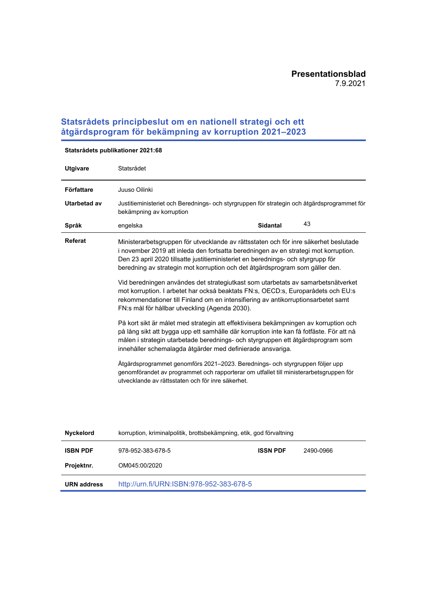## **Statsrådets principbeslut om en nationell strategi och ett åtgärdsprogram för bekämpning av korruption 2021–2023**

| <b>Utgivare</b> | Statsrådet                                                                                                                                                                                                                                                                                                                                      |
|-----------------|-------------------------------------------------------------------------------------------------------------------------------------------------------------------------------------------------------------------------------------------------------------------------------------------------------------------------------------------------|
| Författare      | Juuso Oilinki                                                                                                                                                                                                                                                                                                                                   |
| Utarbetad av    | Justitieministeriet och Berednings- och styrgruppen för strategin och åtgärdsprogrammet för<br>bekämpning av korruption                                                                                                                                                                                                                         |
| Språk           | 43<br><b>Sidantal</b><br>engelska                                                                                                                                                                                                                                                                                                               |
| Referat         | Ministerarbetsgruppen för utvecklande av rättsstaten och för inre säkerhet beslutade<br>i november 2019 att inleda den fortsatta beredningen av en strategi mot korruption.<br>Den 23 april 2020 tillsatte justitieministeriet en berednings- och styrgrupp för<br>beredning av strategin mot korruption och det åtgärdsprogram som gäller den. |
|                 | Vid beredningen användes det strategiutkast som utarbetats av samarbetsnätverket<br>mot korruption. I arbetet har också beaktats FN:s, OECD:s, Europarådets och EU:s<br>rekommendationer till Finland om en intensifiering av antikorruptionsarbetet samt<br>FN:s mål för hållbar utveckling (Agenda 2030).                                     |
|                 | På kort sikt är målet med strategin att effektivisera bekämpningen av korruption och<br>på lång sikt att bygga upp ett samhälle där korruption inte kan få fotfäste. För att nå<br>målen i strategin utarbetade berednings- och styrgruppen ett åtgärdsprogram som<br>innehåller schemalagda åtgärder med definierade ansvariga.                |
|                 | Åtgärdsprogrammet genomförs 2021–2023. Berednings- och styrgruppen följer upp<br>genomförandet av programmet och rapporterar om utfallet till ministerarbetsgruppen för<br>utvecklande av rättsstaten och för inre säkerhet.                                                                                                                    |
|                 |                                                                                                                                                                                                                                                                                                                                                 |

### **Statsrådets publikationer 2021:68**

| <b>Nyckelord</b>   | korruption, kriminalpolitik, brottsbekämpning, etik, god förvaltning |  |  |  |  |
|--------------------|----------------------------------------------------------------------|--|--|--|--|
| <b>ISBN PDF</b>    | <b>ISSN PDF</b><br>978-952-383-678-5<br>2490-0966                    |  |  |  |  |
| Projektnr.         | OM045:00/2020                                                        |  |  |  |  |
| <b>URN</b> address | http://urn.fi/URN:ISBN:978-952-383-678-5                             |  |  |  |  |
|                    |                                                                      |  |  |  |  |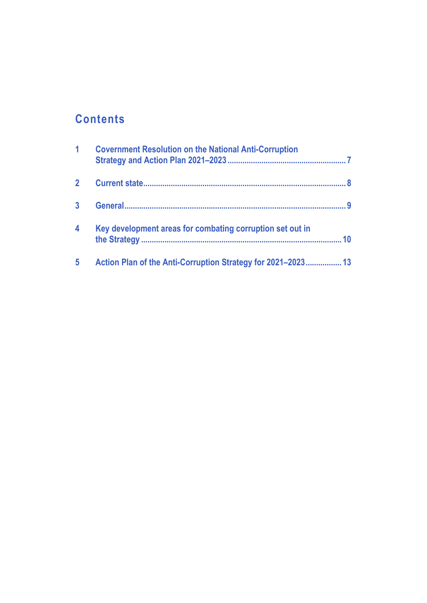## **Contents**

| 1                       | <b>Covernment Resolution on the National Anti-Corruption</b>    |
|-------------------------|-----------------------------------------------------------------|
|                         |                                                                 |
|                         | q                                                               |
| $\overline{\mathbf{4}}$ | Key development areas for combating corruption set out in<br>10 |
| 5                       | Action Plan of the Anti-Corruption Strategy for 2021-2023 13    |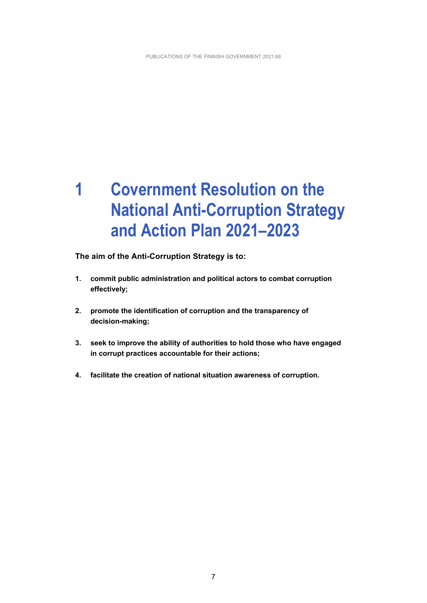## <span id="page-7-0"></span>**1 Covernment Resolution on the National Anti-Corruption Strategy and Action Plan 2021–2023**

**The aim of the Anti-Corruption Strategy is to:**

- **1. commit public administration and political actors to combat corruption effectively;**
- **2. promote the identification of corruption and the transparency of decision-making;**
- **3. seek to improve the ability of authorities to hold those who have engaged in corrupt practices accountable for their actions;**
- **4. facilitate the creation of national situation awareness of corruption.**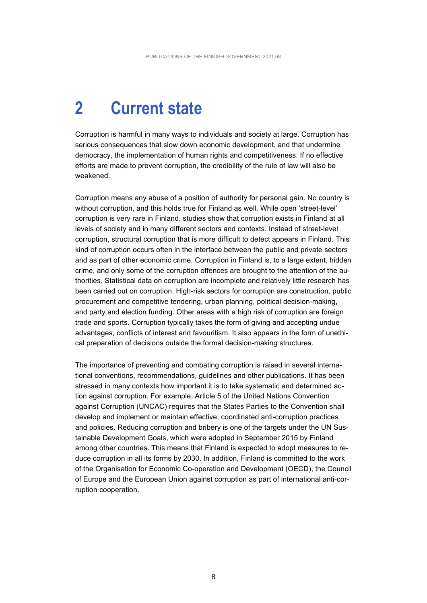## <span id="page-8-0"></span>**2 Current state**

Corruption is harmful in many ways to individuals and society at large. Corruption has serious consequences that slow down economic development, and that undermine democracy, the implementation of human rights and competitiveness. If no effective efforts are made to prevent corruption, the credibility of the rule of law will also be weakened.

Corruption means any abuse of a position of authority for personal gain. No country is without corruption, and this holds true for Finland as well. While open 'street-level' corruption is very rare in Finland, studies show that corruption exists in Finland at all levels of society and in many different sectors and contexts. Instead of street-level corruption, structural corruption that is more difficult to detect appears in Finland. This kind of corruption occurs often in the interface between the public and private sectors and as part of other economic crime. Corruption in Finland is, to a large extent, hidden crime, and only some of the corruption offences are brought to the attention of the authorities. Statistical data on corruption are incomplete and relatively little research has been carried out on corruption. High-risk sectors for corruption are construction, public procurement and competitive tendering, urban planning, political decision-making, and party and election funding. Other areas with a high risk of corruption are foreign trade and sports. Corruption typically takes the form of giving and accepting undue advantages, conflicts of interest and favouritism. It also appears in the form of unethical preparation of decisions outside the formal decision-making structures.

The importance of preventing and combating corruption is raised in several international conventions, recommendations, guidelines and other publications. It has been stressed in many contexts how important it is to take systematic and determined action against corruption. For example, Article 5 of the United Nations Convention against Corruption (UNCAC) requires that the States Parties to the Convention shall develop and implement or maintain effective, coordinated anti-corruption practices and policies. Reducing corruption and bribery is one of the targets under the UN Sustainable Development Goals, which were adopted in September 2015 by Finland among other countries. This means that Finland is expected to adopt measures to reduce corruption in all its forms by 2030. In addition, Finland is committed to the work of the Organisation for Economic Co-operation and Development (OECD), the Council of Europe and the European Union against corruption as part of international anti-corruption cooperation.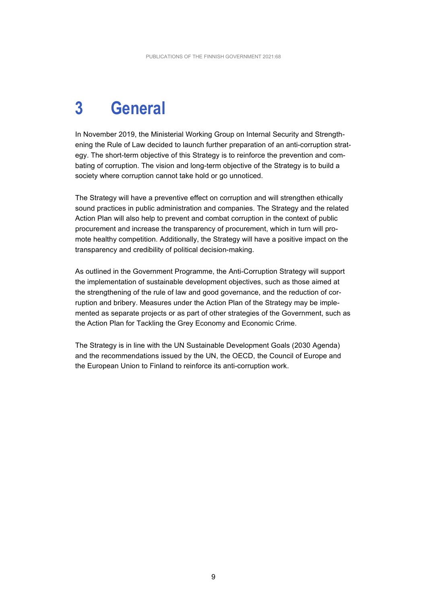## <span id="page-9-0"></span>**3 General**

In November 2019, the Ministerial Working Group on Internal Security and Strengthening the Rule of Law decided to launch further preparation of an anti-corruption strategy. The short-term objective of this Strategy is to reinforce the prevention and combating of corruption. The vision and long-term objective of the Strategy is to build a society where corruption cannot take hold or go unnoticed.

The Strategy will have a preventive effect on corruption and will strengthen ethically sound practices in public administration and companies. The Strategy and the related Action Plan will also help to prevent and combat corruption in the context of public procurement and increase the transparency of procurement, which in turn will promote healthy competition. Additionally, the Strategy will have a positive impact on the transparency and credibility of political decision-making.

As outlined in the Government Programme, the Anti-Corruption Strategy will support the implementation of sustainable development objectives, such as those aimed at the strengthening of the rule of law and good governance, and the reduction of corruption and bribery. Measures under the Action Plan of the Strategy may be implemented as separate projects or as part of other strategies of the Government, such as the Action Plan for Tackling the Grey Economy and Economic Crime.

The Strategy is in line with the UN Sustainable Development Goals (2030 Agenda) and the recommendations issued by the UN, the OECD, the Council of Europe and the European Union to Finland to reinforce its anti-corruption work.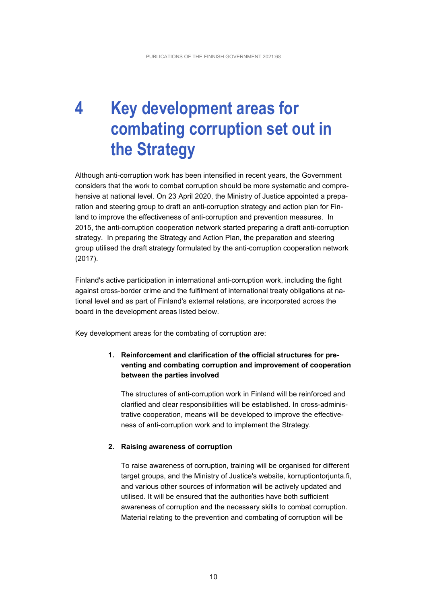## <span id="page-10-0"></span>**4 Key development areas for combating corruption set out in the Strategy**

Although anti-corruption work has been intensified in recent years, the Government considers that the work to combat corruption should be more systematic and comprehensive at national level. On 23 April 2020, the Ministry of Justice appointed a preparation and steering group to draft an anti-corruption strategy and action plan for Finland to improve the effectiveness of anti-corruption and prevention measures. In 2015, the anti-corruption cooperation network started preparing a draft anti-corruption strategy. In preparing the Strategy and Action Plan, the preparation and steering group utilised the draft strategy formulated by the anti-corruption cooperation network (2017).

Finland's active participation in international anti-corruption work, including the fight against cross-border crime and the fulfilment of international treaty obligations at national level and as part of Finland's external relations, are incorporated across the board in the development areas listed below.

Key development areas for the combating of corruption are:

### **1. Reinforcement and clarification of the official structures for preventing and combating corruption and improvement of cooperation between the parties involved**

The structures of anti-corruption work in Finland will be reinforced and clarified and clear responsibilities will be established. In cross-administrative cooperation, means will be developed to improve the effectiveness of anti-corruption work and to implement the Strategy.

#### **2. Raising awareness of corruption**

To raise awareness of corruption, training will be organised for different target groups, and the Ministry of Justice's website, korruptiontorjunta.fi, and various other sources of information will be actively updated and utilised. It will be ensured that the authorities have both sufficient awareness of corruption and the necessary skills to combat corruption. Material relating to the prevention and combating of corruption will be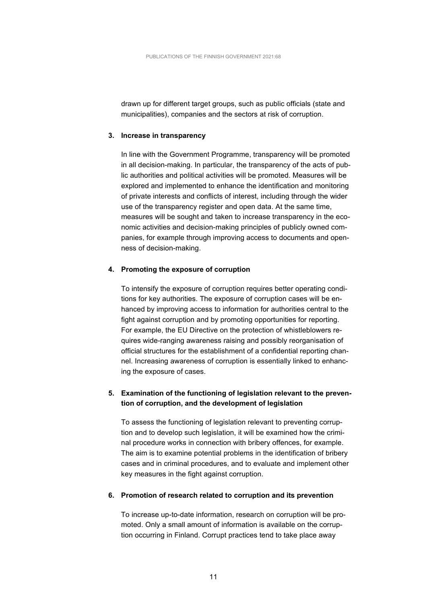drawn up for different target groups, such as public officials (state and municipalities), companies and the sectors at risk of corruption.

#### **3. Increase in transparency**

In line with the Government Programme, transparency will be promoted in all decision-making. In particular, the transparency of the acts of public authorities and political activities will be promoted. Measures will be explored and implemented to enhance the identification and monitoring of private interests and conflicts of interest, including through the wider use of the transparency register and open data. At the same time, measures will be sought and taken to increase transparency in the economic activities and decision-making principles of publicly owned companies, for example through improving access to documents and openness of decision-making.

#### **4. Promoting the exposure of corruption**

To intensify the exposure of corruption requires better operating conditions for key authorities. The exposure of corruption cases will be enhanced by improving access to information for authorities central to the fight against corruption and by promoting opportunities for reporting. For example, the EU Directive on the protection of whistleblowers requires wide-ranging awareness raising and possibly reorganisation of official structures for the establishment of a confidential reporting channel. Increasing awareness of corruption is essentially linked to enhancing the exposure of cases.

#### **5. Examination of the functioning of legislation relevant to the prevention of corruption, and the development of legislation**

To assess the functioning of legislation relevant to preventing corruption and to develop such legislation, it will be examined how the criminal procedure works in connection with bribery offences, for example. The aim is to examine potential problems in the identification of bribery cases and in criminal procedures, and to evaluate and implement other key measures in the fight against corruption.

#### **6. Promotion of research related to corruption and its prevention**

To increase up-to-date information, research on corruption will be promoted. Only a small amount of information is available on the corruption occurring in Finland. Corrupt practices tend to take place away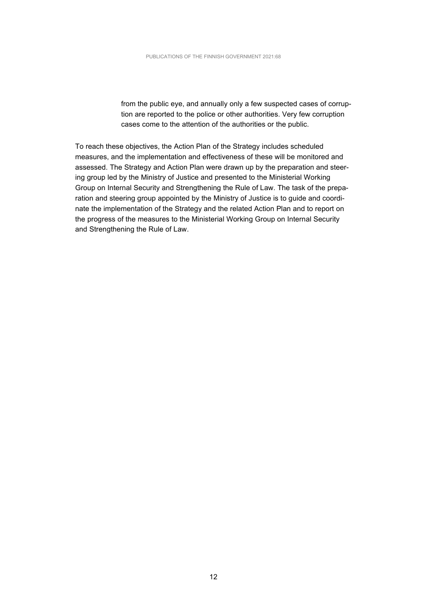from the public eye, and annually only a few suspected cases of corruption are reported to the police or other authorities. Very few corruption cases come to the attention of the authorities or the public.

To reach these objectives, the Action Plan of the Strategy includes scheduled measures, and the implementation and effectiveness of these will be monitored and assessed. The Strategy and Action Plan were drawn up by the preparation and steering group led by the Ministry of Justice and presented to the Ministerial Working Group on Internal Security and Strengthening the Rule of Law. The task of the preparation and steering group appointed by the Ministry of Justice is to guide and coordinate the implementation of the Strategy and the related Action Plan and to report on the progress of the measures to the Ministerial Working Group on Internal Security and Strengthening the Rule of Law.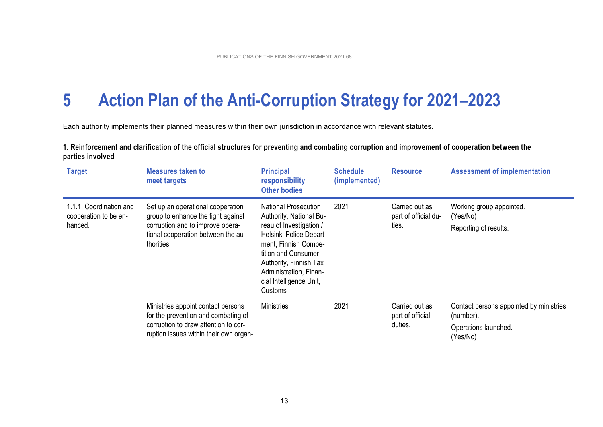## **5 Action Plan of the Anti-Corruption Strategy for 2021–2023**

Each authority implements their planned measures within their own jurisdiction in accordance with relevant statutes.

| 1. Reinforcement and clarification of the official structures for preventing and combating corruption and improvement of cooperation between the |  |
|--------------------------------------------------------------------------------------------------------------------------------------------------|--|
| parties involved                                                                                                                                 |  |
|                                                                                                                                                  |  |

<span id="page-13-0"></span>

| <b>Target</b>                                               | <b>Measures taken to</b><br>meet targets                                                                                                                        | <b>Principal</b><br>responsibility<br><b>Other bodies</b>                                                                                                                                                                                             | <b>Schedule</b><br>(implemented) | <b>Resource</b>                                 | <b>Assessment of implementation</b>                                                      |
|-------------------------------------------------------------|-----------------------------------------------------------------------------------------------------------------------------------------------------------------|-------------------------------------------------------------------------------------------------------------------------------------------------------------------------------------------------------------------------------------------------------|----------------------------------|-------------------------------------------------|------------------------------------------------------------------------------------------|
| 1.1.1. Coordination and<br>cooperation to be en-<br>hanced. | Set up an operational cooperation<br>group to enhance the fight against<br>corruption and to improve opera-<br>tional cooperation between the au-<br>thorities. | <b>National Prosecution</b><br>Authority, National Bu-<br>reau of Investigation /<br>Helsinki Police Depart-<br>ment, Finnish Compe-<br>tition and Consumer<br>Authority, Finnish Tax<br>Administration, Finan-<br>cial Intelligence Unit,<br>Customs | 2021                             | Carried out as<br>part of official du-<br>ties. | Working group appointed.<br>(Yes/No)<br>Reporting of results.                            |
|                                                             | Ministries appoint contact persons<br>for the prevention and combating of<br>corruption to draw attention to cor-<br>ruption issues within their own organ-     | <b>Ministries</b>                                                                                                                                                                                                                                     | 2021                             | Carried out as<br>part of official<br>duties.   | Contact persons appointed by ministries<br>(number).<br>Operations launched.<br>(Yes/No) |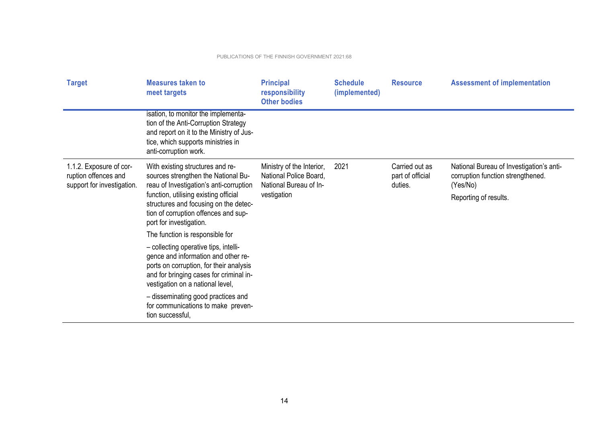| <b>Target</b>                                                                 | <b>Measures taken to</b><br>meet targets                                                                                                                                                                                                                                                                                                  | <b>Principal</b><br>responsibility<br><b>Other bodies</b>                                    | <b>Schedule</b><br>(implemented) | <b>Resource</b>                               | <b>Assessment of implementation</b>                                                                                |
|-------------------------------------------------------------------------------|-------------------------------------------------------------------------------------------------------------------------------------------------------------------------------------------------------------------------------------------------------------------------------------------------------------------------------------------|----------------------------------------------------------------------------------------------|----------------------------------|-----------------------------------------------|--------------------------------------------------------------------------------------------------------------------|
|                                                                               | isation, to monitor the implementa-<br>tion of the Anti-Corruption Strategy<br>and report on it to the Ministry of Jus-<br>tice, which supports ministries in<br>anti-corruption work.                                                                                                                                                    |                                                                                              |                                  |                                               |                                                                                                                    |
| 1.1.2. Exposure of cor-<br>ruption offences and<br>support for investigation. | With existing structures and re-<br>sources strengthen the National Bu-<br>reau of Investigation's anti-corruption<br>function, utilising existing official<br>structures and focusing on the detec-<br>tion of corruption offences and sup-<br>port for investigation.                                                                   | Ministry of the Interior,<br>National Police Board,<br>National Bureau of In-<br>vestigation | 2021                             | Carried out as<br>part of official<br>duties. | National Bureau of Investigation's anti-<br>corruption function strengthened.<br>(Yes/No)<br>Reporting of results. |
|                                                                               | The function is responsible for<br>- collecting operative tips, intelli-<br>gence and information and other re-<br>ports on corruption, for their analysis<br>and for bringing cases for criminal in-<br>vestigation on a national level,<br>- disseminating good practices and<br>for communications to make preven-<br>tion successful, |                                                                                              |                                  |                                               |                                                                                                                    |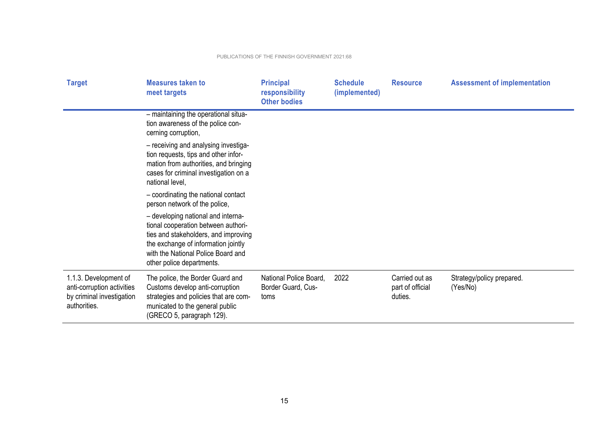| <b>Target</b>                                                                                    | <b>Measures taken to</b><br>meet targets                                                                                                                                                                                    | <b>Principal</b><br>responsibility<br><b>Other bodies</b> | <b>Schedule</b><br>(implemented) | <b>Resource</b>                               | <b>Assessment of implementation</b>   |
|--------------------------------------------------------------------------------------------------|-----------------------------------------------------------------------------------------------------------------------------------------------------------------------------------------------------------------------------|-----------------------------------------------------------|----------------------------------|-----------------------------------------------|---------------------------------------|
|                                                                                                  | - maintaining the operational situa-<br>tion awareness of the police con-<br>cerning corruption,                                                                                                                            |                                                           |                                  |                                               |                                       |
|                                                                                                  | - receiving and analysing investiga-<br>tion requests, tips and other infor-<br>mation from authorities, and bringing<br>cases for criminal investigation on a<br>national level,                                           |                                                           |                                  |                                               |                                       |
|                                                                                                  | - coordinating the national contact<br>person network of the police,                                                                                                                                                        |                                                           |                                  |                                               |                                       |
|                                                                                                  | - developing national and interna-<br>tional cooperation between authori-<br>ties and stakeholders, and improving<br>the exchange of information jointly<br>with the National Police Board and<br>other police departments. |                                                           |                                  |                                               |                                       |
| 1.1.3. Development of<br>anti-corruption activities<br>by criminal investigation<br>authorities. | The police, the Border Guard and<br>Customs develop anti-corruption<br>strategies and policies that are com-<br>municated to the general public<br>(GRECO 5, paragraph 129).                                                | National Police Board,<br>Border Guard, Cus-<br>toms      | 2022                             | Carried out as<br>part of official<br>duties. | Strategy/policy prepared.<br>(Yes/No) |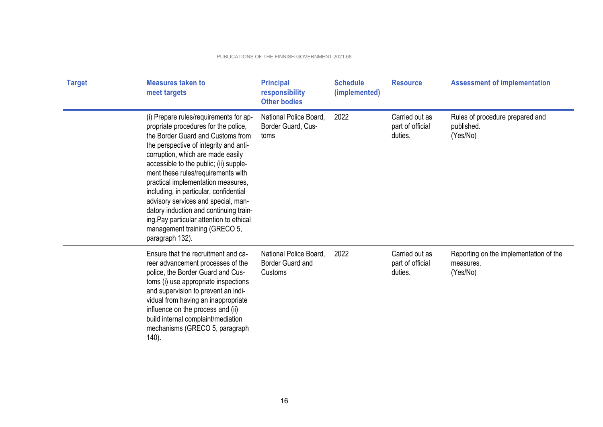| <b>Target</b> | <b>Measures taken to</b><br>meet targets                                                                                                                                                                                                                                                                                                                                                                                                                                                                                                            | <b>Principal</b><br>responsibility<br><b>Other bodies</b>    | <b>Schedule</b><br>(implemented) | <b>Resource</b>                               | <b>Assessment of implementation</b>                             |
|---------------|-----------------------------------------------------------------------------------------------------------------------------------------------------------------------------------------------------------------------------------------------------------------------------------------------------------------------------------------------------------------------------------------------------------------------------------------------------------------------------------------------------------------------------------------------------|--------------------------------------------------------------|----------------------------------|-----------------------------------------------|-----------------------------------------------------------------|
|               | (i) Prepare rules/requirements for ap-<br>propriate procedures for the police,<br>the Border Guard and Customs from<br>the perspective of integrity and anti-<br>corruption, which are made easily<br>accessible to the public; (ii) supple-<br>ment these rules/requirements with<br>practical implementation measures,<br>including, in particular, confidential<br>advisory services and special, man-<br>datory induction and continuing train-<br>ing. Pay particular attention to ethical<br>management training (GRECO 5,<br>paragraph 132). | National Police Board,<br>Border Guard, Cus-<br>toms         | 2022                             | Carried out as<br>part of official<br>duties. | Rules of procedure prepared and<br>published.<br>(Yes/No)       |
|               | Ensure that the recruitment and ca-<br>reer advancement processes of the<br>police, the Border Guard and Cus-<br>toms (i) use appropriate inspections<br>and supervision to prevent an indi-<br>vidual from having an inappropriate<br>influence on the process and (ii)<br>build internal complaint/mediation<br>mechanisms (GRECO 5, paragraph<br>$140$ ).                                                                                                                                                                                        | National Police Board,<br><b>Border Guard and</b><br>Customs | 2022                             | Carried out as<br>part of official<br>duties. | Reporting on the implementation of the<br>measures.<br>(Yes/No) |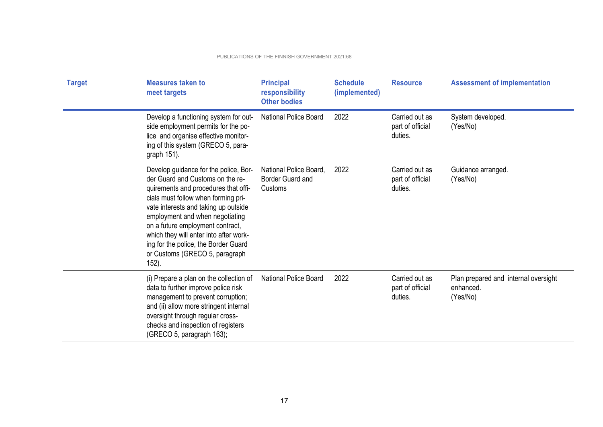| <b>Target</b> | <b>Measures taken to</b><br>meet targets                                                                                                                                                                                                                                                                                                                                                             | <b>Principal</b><br>responsibility<br><b>Other bodies</b> | <b>Schedule</b><br>(implemented) | <b>Resource</b>                               | <b>Assessment of implementation</b>                           |
|---------------|------------------------------------------------------------------------------------------------------------------------------------------------------------------------------------------------------------------------------------------------------------------------------------------------------------------------------------------------------------------------------------------------------|-----------------------------------------------------------|----------------------------------|-----------------------------------------------|---------------------------------------------------------------|
|               | Develop a functioning system for out-<br>side employment permits for the po-<br>lice and organise effective monitor-<br>ing of this system (GRECO 5, para-<br>graph 151).                                                                                                                                                                                                                            | <b>National Police Board</b>                              | 2022                             | Carried out as<br>part of official<br>duties. | System developed.<br>(Yes/No)                                 |
|               | Develop guidance for the police, Bor-<br>der Guard and Customs on the re-<br>quirements and procedures that offi-<br>cials must follow when forming pri-<br>vate interests and taking up outside<br>employment and when negotiating<br>on a future employment contract,<br>which they will enter into after work-<br>ing for the police, the Border Guard<br>or Customs (GRECO 5, paragraph<br>152). | National Police Board,<br>Border Guard and<br>Customs     | 2022                             | Carried out as<br>part of official<br>duties. | Guidance arranged.<br>(Yes/No)                                |
|               | (i) Prepare a plan on the collection of<br>data to further improve police risk<br>management to prevent corruption;<br>and (ii) allow more stringent internal<br>oversight through regular cross-<br>checks and inspection of registers<br>(GRECO 5, paragraph 163);                                                                                                                                 | <b>National Police Board</b>                              | 2022                             | Carried out as<br>part of official<br>duties. | Plan prepared and internal oversight<br>enhanced.<br>(Yes/No) |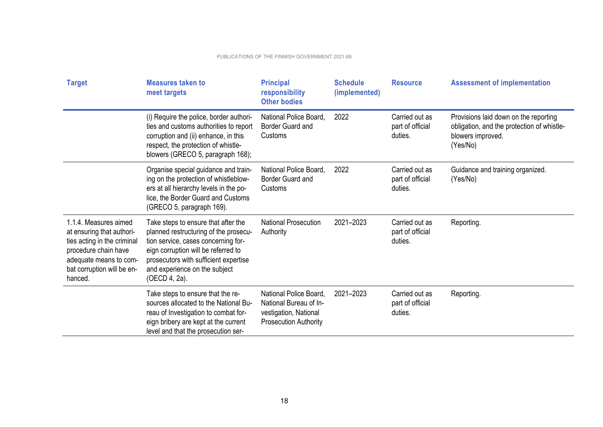| <b>Target</b>                                                                                                                                                                | <b>Measures taken to</b><br>meet targets                                                                                                                                                                                                              | <b>Principal</b><br>responsibility<br><b>Other bodies</b>                                                 | <b>Schedule</b><br>(implemented) | <b>Resource</b>                               | <b>Assessment of implementation</b>                                                                                  |
|------------------------------------------------------------------------------------------------------------------------------------------------------------------------------|-------------------------------------------------------------------------------------------------------------------------------------------------------------------------------------------------------------------------------------------------------|-----------------------------------------------------------------------------------------------------------|----------------------------------|-----------------------------------------------|----------------------------------------------------------------------------------------------------------------------|
|                                                                                                                                                                              | (i) Require the police, border authori-<br>ties and customs authorities to report<br>corruption and (ii) enhance, in this<br>respect, the protection of whistle-<br>blowers (GRECO 5, paragraph 168);                                                 | National Police Board,<br>Border Guard and<br>Customs                                                     | 2022                             | Carried out as<br>part of official<br>duties. | Provisions laid down on the reporting<br>obligation, and the protection of whistle-<br>blowers improved.<br>(Yes/No) |
|                                                                                                                                                                              | Organise special guidance and train-<br>ing on the protection of whistleblow-<br>ers at all hierarchy levels in the po-<br>lice, the Border Guard and Customs<br>(GRECO 5, paragraph 169).                                                            | National Police Board,<br>Border Guard and<br>Customs                                                     | 2022                             | Carried out as<br>part of official<br>duties. | Guidance and training organized.<br>(Yes/No)                                                                         |
| 1.1.4. Measures aimed<br>at ensuring that authori-<br>ties acting in the criminal<br>procedure chain have<br>adequate means to com-<br>bat corruption will be en-<br>hanced. | Take steps to ensure that after the<br>planned restructuring of the prosecu-<br>tion service, cases concerning for-<br>eign corruption will be referred to<br>prosecutors with sufficient expertise<br>and experience on the subject<br>(OECD 4, 2a). | <b>National Prosecution</b><br>Authority                                                                  | 2021-2023                        | Carried out as<br>part of official<br>duties. | Reporting.                                                                                                           |
|                                                                                                                                                                              | Take steps to ensure that the re-<br>sources allocated to the National Bu-<br>reau of Investigation to combat for-<br>eign bribery are kept at the current<br>level and that the prosecution ser-                                                     | National Police Board.<br>National Bureau of In-<br>vestigation, National<br><b>Prosecution Authority</b> | 2021-2023                        | Carried out as<br>part of official<br>duties. | Reporting.                                                                                                           |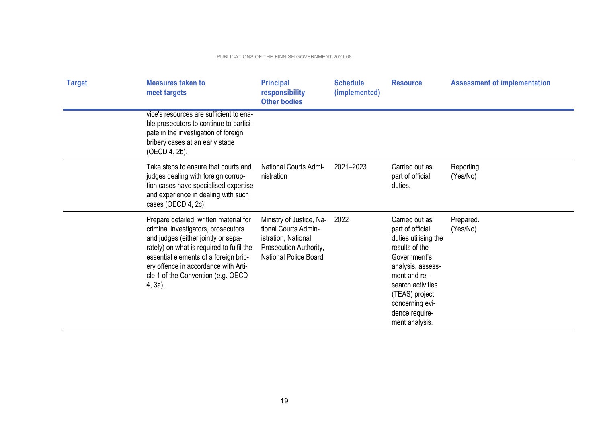| <b>Target</b> | <b>Measures taken to</b><br>meet targets                                                                                                                                                                                                                                                            | <b>Principal</b><br>responsibility<br><b>Other bodies</b>                                                                         | <b>Schedule</b><br>(implemented) | <b>Resource</b>                                                                                                                                                                                                                 | <b>Assessment of implementation</b> |
|---------------|-----------------------------------------------------------------------------------------------------------------------------------------------------------------------------------------------------------------------------------------------------------------------------------------------------|-----------------------------------------------------------------------------------------------------------------------------------|----------------------------------|---------------------------------------------------------------------------------------------------------------------------------------------------------------------------------------------------------------------------------|-------------------------------------|
|               | vice's resources are sufficient to ena-<br>ble prosecutors to continue to partici-<br>pate in the investigation of foreign<br>bribery cases at an early stage<br>(OECD 4, 2b).                                                                                                                      |                                                                                                                                   |                                  |                                                                                                                                                                                                                                 |                                     |
|               | Take steps to ensure that courts and<br>judges dealing with foreign corrup-<br>tion cases have specialised expertise<br>and experience in dealing with such<br>cases (OECD 4, 2c).                                                                                                                  | <b>National Courts Admi-</b><br>nistration                                                                                        | 2021-2023                        | Carried out as<br>part of official<br>duties.                                                                                                                                                                                   | Reporting.<br>(Yes/No)              |
|               | Prepare detailed, written material for<br>criminal investigators, prosecutors<br>and judges (either jointly or sepa-<br>rately) on what is required to fulfil the<br>essential elements of a foreign brib-<br>ery offence in accordance with Arti-<br>cle 1 of the Convention (e.g. OECD<br>4, 3a). | Ministry of Justice, Na-<br>tional Courts Admin-<br>istration, National<br>Prosecution Authority,<br><b>National Police Board</b> | 2022                             | Carried out as<br>part of official<br>duties utilising the<br>results of the<br>Government's<br>analysis, assess-<br>ment and re-<br>search activities<br>(TEAS) project<br>concerning evi-<br>dence require-<br>ment analysis. | Prepared.<br>(Yes/No)               |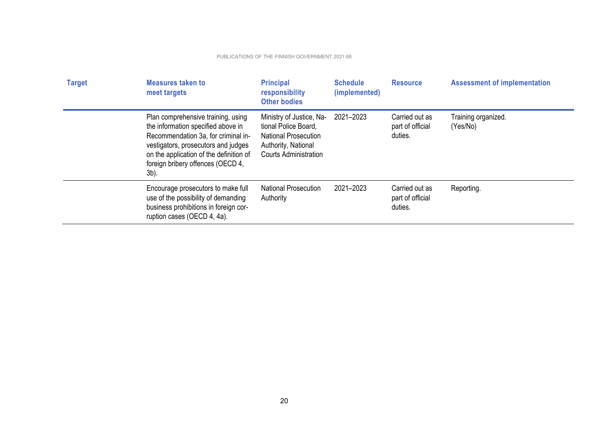| <b>Target</b> | <b>Measures taken to</b><br>meet targets                                                                                                                                                                                                          | <b>Principal</b><br>responsibility<br><b>Other bodies</b>                                                                              | <b>Schedule</b><br>(implemented) | <b>Resource</b>                               | <b>Assessment of implementation</b> |
|---------------|---------------------------------------------------------------------------------------------------------------------------------------------------------------------------------------------------------------------------------------------------|----------------------------------------------------------------------------------------------------------------------------------------|----------------------------------|-----------------------------------------------|-------------------------------------|
|               | Plan comprehensive training, using<br>the information specified above in<br>Recommendation 3a, for criminal in-<br>vestigators, prosecutors and judges<br>on the application of the definition of<br>foreign bribery offences (OECD 4,<br>$3b$ ). | Ministry of Justice, Na-<br>tional Police Board,<br><b>National Prosecution</b><br>Authority, National<br><b>Courts Administration</b> | 2021-2023                        | Carried out as<br>part of official<br>duties. | Training organized.<br>(Yes/No)     |
|               | Encourage prosecutors to make full<br>use of the possibility of demanding<br>business prohibitions in foreign cor-<br>ruption cases (OECD 4, 4a).                                                                                                 | <b>National Prosecution</b><br>Authority                                                                                               | 2021-2023                        | Carried out as<br>part of official<br>duties. | Reporting.                          |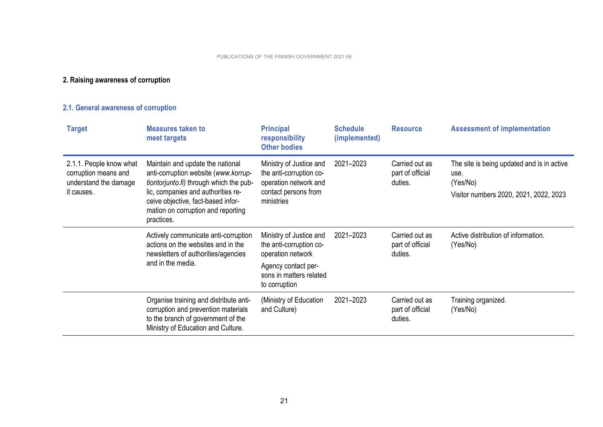## **2. Raising awareness of corruption**

## **2.1. General awareness of corruption**

| <b>Target</b>                                                                          | <b>Measures taken to</b><br>meet targets                                                                                                                                                                                                            | <b>Principal</b><br>responsibility<br><b>Other bodies</b>                                                                                  | <b>Schedule</b><br>(implemented) | <b>Resource</b>                               | <b>Assessment of implementation</b>                                                                      |
|----------------------------------------------------------------------------------------|-----------------------------------------------------------------------------------------------------------------------------------------------------------------------------------------------------------------------------------------------------|--------------------------------------------------------------------------------------------------------------------------------------------|----------------------------------|-----------------------------------------------|----------------------------------------------------------------------------------------------------------|
| 2.1.1. People know what<br>corruption means and<br>understand the damage<br>it causes. | Maintain and update the national<br>anti-corruption website (www.korrup-<br>tiontorjunto.fi) through which the pub-<br>lic, companies and authorities re-<br>ceive objective, fact-based infor-<br>mation on corruption and reporting<br>practices. | Ministry of Justice and<br>the anti-corruption co-<br>operation network and<br>contact persons from<br>ministries                          | 2021-2023                        | Carried out as<br>part of official<br>duties. | The site is being updated and is in active<br>use.<br>(Yes/No)<br>Visitor numbers 2020, 2021, 2022, 2023 |
|                                                                                        | Actively communicate anti-corruption<br>actions on the websites and in the<br>newsletters of authorities/agencies<br>and in the media.                                                                                                              | Ministry of Justice and<br>the anti-corruption co-<br>operation network<br>Agency contact per-<br>sons in matters related<br>to corruption | 2021-2023                        | Carried out as<br>part of official<br>duties. | Active distribution of information.<br>(Yes/No)                                                          |
|                                                                                        | Organise training and distribute anti-<br>corruption and prevention materials<br>to the branch of government of the<br>Ministry of Education and Culture.                                                                                           | (Ministry of Education<br>and Culture)                                                                                                     | 2021-2023                        | Carried out as<br>part of official<br>duties. | Training organized.<br>(Yes/No)                                                                          |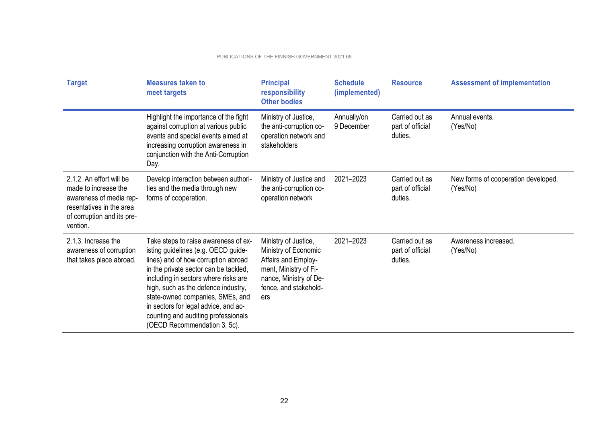| <b>Target</b>                                                                                                                                     | <b>Measures taken to</b><br>meet targets                                                                                                                                                                                                                                                                                                                                                      | <b>Principal</b><br>responsibility<br><b>Other bodies</b>                                                                                              | <b>Schedule</b><br>(implemented) | <b>Resource</b>                               | <b>Assessment of implementation</b>             |
|---------------------------------------------------------------------------------------------------------------------------------------------------|-----------------------------------------------------------------------------------------------------------------------------------------------------------------------------------------------------------------------------------------------------------------------------------------------------------------------------------------------------------------------------------------------|--------------------------------------------------------------------------------------------------------------------------------------------------------|----------------------------------|-----------------------------------------------|-------------------------------------------------|
|                                                                                                                                                   | Highlight the importance of the fight<br>against corruption at various public<br>events and special events aimed at<br>increasing corruption awareness in<br>conjunction with the Anti-Corruption<br>Day.                                                                                                                                                                                     | Ministry of Justice,<br>the anti-corruption co-<br>operation network and<br>stakeholders                                                               | Annually/on<br>9 December        | Carried out as<br>part of official<br>duties. | Annual events.<br>(Yes/No)                      |
| 2.1.2. An effort will be<br>made to increase the<br>awareness of media rep-<br>resentatives in the area<br>of corruption and its pre-<br>vention. | Develop interaction between authori-<br>ties and the media through new<br>forms of cooperation.                                                                                                                                                                                                                                                                                               | Ministry of Justice and<br>the anti-corruption co-<br>operation network                                                                                | 2021-2023                        | Carried out as<br>part of official<br>duties. | New forms of cooperation developed.<br>(Yes/No) |
| 2.1.3. Increase the<br>awareness of corruption<br>that takes place abroad.                                                                        | Take steps to raise awareness of ex-<br>isting guidelines (e.g. OECD guide-<br>lines) and of how corruption abroad<br>in the private sector can be tackled,<br>including in sectors where risks are<br>high, such as the defence industry,<br>state-owned companies, SMEs, and<br>in sectors for legal advice, and ac-<br>counting and auditing professionals<br>(OECD Recommendation 3, 5c). | Ministry of Justice,<br>Ministry of Economic<br>Affairs and Employ-<br>ment, Ministry of Fi-<br>nance, Ministry of De-<br>fence, and stakehold-<br>ers | 2021-2023                        | Carried out as<br>part of official<br>duties. | Awareness increased.<br>(Yes/No)                |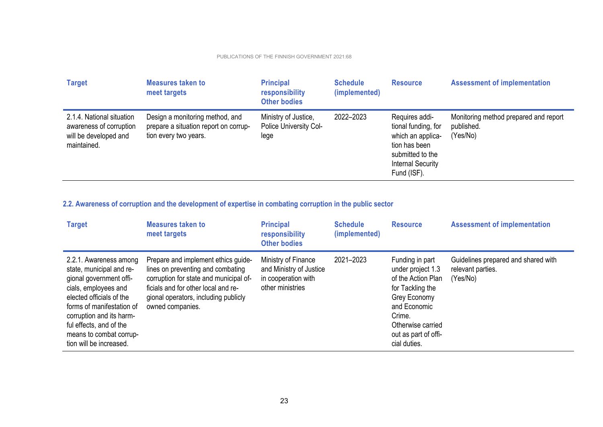| <b>Target</b>                                                                                | <b>Measures taken to</b><br>meet targets                                                          | <b>Principal</b><br>responsibility<br><b>Other bodies</b> | <b>Schedule</b><br>(implemented) | <b>Resource</b>                                                                                                                            | <b>Assessment of implementation</b>                             |
|----------------------------------------------------------------------------------------------|---------------------------------------------------------------------------------------------------|-----------------------------------------------------------|----------------------------------|--------------------------------------------------------------------------------------------------------------------------------------------|-----------------------------------------------------------------|
| 2.1.4. National situation<br>awareness of corruption<br>will be developed and<br>maintained. | Design a monitoring method, and<br>prepare a situation report on corrup-<br>tion every two years. | Ministry of Justice,<br>Police University Col-<br>lege    | 2022-2023                        | Requires addi-<br>tional funding, for<br>which an applica-<br>tion has been<br>submitted to the<br><b>Internal Security</b><br>Fund (ISF). | Monitoring method prepared and report<br>published.<br>(Yes/No) |

## **2.2. Awareness of corruption and the development of expertise in combating corruption in the public sector**

| <b>Target</b>                                                                                                                                                                                                                                                               | <b>Measures taken to</b><br>meet targets                                                                                                                                                                              | <b>Principal</b><br>responsibility<br><b>Other bodies</b>                                 | <b>Schedule</b><br>(implemented) | <b>Resource</b>                                                                                                                                                                       | <b>Assessment of implementation</b>                                  |
|-----------------------------------------------------------------------------------------------------------------------------------------------------------------------------------------------------------------------------------------------------------------------------|-----------------------------------------------------------------------------------------------------------------------------------------------------------------------------------------------------------------------|-------------------------------------------------------------------------------------------|----------------------------------|---------------------------------------------------------------------------------------------------------------------------------------------------------------------------------------|----------------------------------------------------------------------|
| 2.2.1. Awareness among<br>state, municipal and re-<br>gional government offi-<br>cials, employees and<br>elected officials of the<br>forms of manifestation of<br>corruption and its harm-<br>ful effects, and of the<br>means to combat corrup-<br>tion will be increased. | Prepare and implement ethics guide-<br>lines on preventing and combating<br>corruption for state and municipal of-<br>ficials and for other local and re-<br>gional operators, including publicly<br>owned companies. | Ministry of Finance<br>and Ministry of Justice<br>in cooperation with<br>other ministries | 2021-2023                        | Funding in part<br>under project 1.3<br>of the Action Plan<br>for Tackling the<br>Grey Economy<br>and Economic<br>Crime.<br>Otherwise carried<br>out as part of offi-<br>cial duties. | Guidelines prepared and shared with<br>relevant parties.<br>(Yes/No) |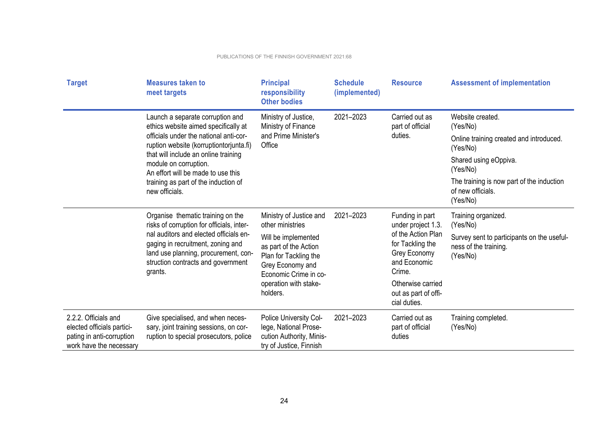| <b>Target</b>                                                                                              | <b>Measures taken to</b><br>meet targets                                                                                                                             | <b>Principal</b><br>responsibility<br><b>Other bodies</b>                                                          | <b>Schedule</b><br>(implemented) | <b>Resource</b>                                                                  | <b>Assessment of implementation</b>                                             |  |  |                                   |          |                                         |
|------------------------------------------------------------------------------------------------------------|----------------------------------------------------------------------------------------------------------------------------------------------------------------------|--------------------------------------------------------------------------------------------------------------------|----------------------------------|----------------------------------------------------------------------------------|---------------------------------------------------------------------------------|--|--|-----------------------------------|----------|-----------------------------------------|
|                                                                                                            | Launch a separate corruption and<br>ethics website aimed specifically at                                                                                             | Ministry of Justice,<br>Ministry of Finance                                                                        | 2021-2023                        | Carried out as<br>part of official                                               | Website created.<br>(Yes/No)                                                    |  |  |                                   |          |                                         |
|                                                                                                            | officials under the national anti-cor-<br>ruption website (korruptiontorjunta.fi)                                                                                    | and Prime Minister's<br>Office                                                                                     | duties.                          |                                                                                  |                                                                                 |  |  |                                   | (Yes/No) | Online training created and introduced. |
|                                                                                                            | that will include an online training<br>module on corruption.<br>An effort will be made to use this                                                                  |                                                                                                                    |                                  |                                                                                  |                                                                                 |  |  | Shared using eOppiva.<br>(Yes/No) |          |                                         |
|                                                                                                            | training as part of the induction of<br>new officials.                                                                                                               |                                                                                                                    |                                  |                                                                                  | The training is now part of the induction<br>of new officials.<br>(Yes/No)      |  |  |                                   |          |                                         |
|                                                                                                            | Organise thematic training on the<br>risks of corruption for officials, inter-                                                                                       | Ministry of Justice and<br>other ministries                                                                        | 2021-2023                        | Funding in part<br>under project 1.3.                                            | Training organized.<br>(Yes/No)                                                 |  |  |                                   |          |                                         |
|                                                                                                            | nal auditors and elected officials en-<br>gaging in recruitment, zoning and<br>land use planning, procurement, con-<br>struction contracts and government<br>grants. | Will be implemented<br>as part of the Action<br>Plan for Tackling the<br>Grey Economy and<br>Economic Crime in co- |                                  | of the Action Plan<br>for Tackling the<br>Grey Economy<br>and Economic<br>Crime. | Survey sent to participants on the useful-<br>ness of the training.<br>(Yes/No) |  |  |                                   |          |                                         |
|                                                                                                            |                                                                                                                                                                      | operation with stake-<br>holders.                                                                                  |                                  | Otherwise carried<br>out as part of offi-<br>cial duties.                        |                                                                                 |  |  |                                   |          |                                         |
| 2.2.2. Officials and<br>elected officials partici-<br>pating in anti-corruption<br>work have the necessary | Give specialised, and when neces-<br>sary, joint training sessions, on cor-<br>ruption to special prosecutors, police                                                | Police University Col-<br>lege, National Prose-<br>cution Authority, Minis-<br>try of Justice, Finnish             | 2021-2023                        | Carried out as<br>part of official<br>duties                                     | Training completed.<br>(Yes/No)                                                 |  |  |                                   |          |                                         |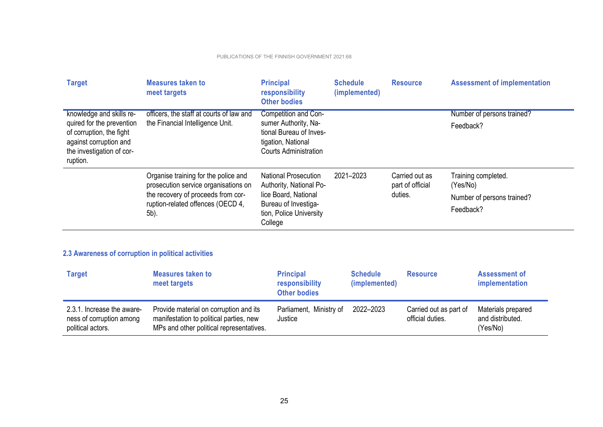| <b>Target</b>                                                                               | <b>Measures taken to</b><br>meet targets                                        | <b>Principal</b><br>responsibility<br><b>Other bodies</b>                     | <b>Schedule</b><br>(implemented) | <b>Resource</b>                    | <b>Assessment of implementation</b>     |
|---------------------------------------------------------------------------------------------|---------------------------------------------------------------------------------|-------------------------------------------------------------------------------|----------------------------------|------------------------------------|-----------------------------------------|
| knowledge and skills re-<br>quired for the prevention                                       | officers, the staff at courts of law and<br>the Financial Intelligence Unit.    | Competition and Con-<br>sumer Authority, Na-                                  |                                  |                                    | Number of persons trained?<br>Feedback? |
| of corruption, the fight<br>against corruption and<br>the investigation of cor-<br>ruption. |                                                                                 | tional Bureau of Inves-<br>tigation, National<br><b>Courts Administration</b> |                                  |                                    |                                         |
|                                                                                             | Organise training for the police and<br>prosecution service organisations on    | <b>National Prosecution</b><br>Authority, National Po-                        | 2021-2023                        | Carried out as<br>part of official | Training completed.<br>(Yes/No)         |
|                                                                                             | the recovery of proceeds from cor-<br>ruption-related offences (OECD 4,<br>5b). | lice Board, National                                                          |                                  | duties.                            | Number of persons trained?              |
|                                                                                             |                                                                                 | Bureau of Investiga-<br>tion, Police University<br>College                    |                                  |                                    | Feedback?                               |

## **2.3 Awareness of corruption in political activities**

| <b>Target</b>                                                               | <b>Measures taken to</b><br>meet targets                                                                                      | <b>Principal</b><br>responsibility<br><b>Other bodies</b> | <b>Schedule</b><br>(implemented) | <b>Resource</b>                            | <b>Assessment of</b><br>implementation             |
|-----------------------------------------------------------------------------|-------------------------------------------------------------------------------------------------------------------------------|-----------------------------------------------------------|----------------------------------|--------------------------------------------|----------------------------------------------------|
| 2.3.1. Increase the aware-<br>ness of corruption among<br>political actors. | Provide material on corruption and its<br>manifestation to political parties, new<br>MPs and other political representatives. | Parliament, Ministry of<br>Justice                        | 2022-2023                        | Carried out as part of<br>official duties. | Materials prepared<br>and distributed.<br>(Yes/No) |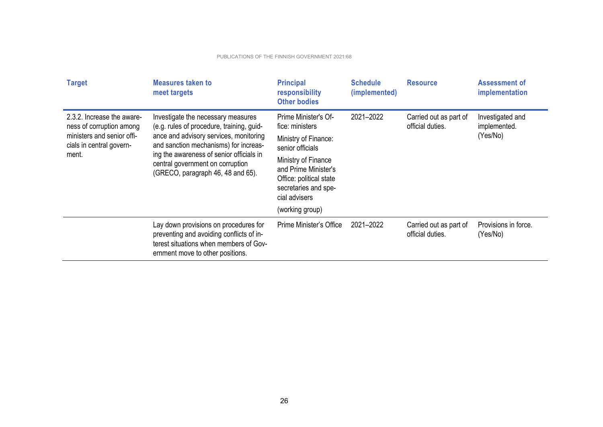| <b>Target</b>                                                                                                             | <b>Measures taken to</b><br>meet targets                                                                                                                                                                                                                                                | <b>Principal</b><br>responsibility<br><b>Other bodies</b>                                                                                                                             | <b>Schedule</b><br>(implemented) | <b>Resource</b>                            | <b>Assessment of</b><br>implementation       |
|---------------------------------------------------------------------------------------------------------------------------|-----------------------------------------------------------------------------------------------------------------------------------------------------------------------------------------------------------------------------------------------------------------------------------------|---------------------------------------------------------------------------------------------------------------------------------------------------------------------------------------|----------------------------------|--------------------------------------------|----------------------------------------------|
| 2.3.2. Increase the aware-<br>ness of corruption among<br>ministers and senior offi-<br>cials in central govern-<br>ment. | Investigate the necessary measures<br>(e.g. rules of procedure, training, guid-<br>ance and advisory services, monitoring<br>and sanction mechanisms) for increas-<br>ing the awareness of senior officials in<br>central government on corruption<br>(GRECO, paragraph 46, 48 and 65). | Prime Minister's Of-<br>fice: ministers<br>Ministry of Finance:<br>senior officials<br>Ministry of Finance<br>and Prime Minister's<br>Office: political state<br>secretaries and spe- | 2021-2022                        | Carried out as part of<br>official duties. | Investigated and<br>implemented.<br>(Yes/No) |
|                                                                                                                           |                                                                                                                                                                                                                                                                                         | cial advisers                                                                                                                                                                         |                                  |                                            |                                              |
|                                                                                                                           |                                                                                                                                                                                                                                                                                         | (working group)                                                                                                                                                                       |                                  |                                            |                                              |
|                                                                                                                           | Lay down provisions on procedures for<br>preventing and avoiding conflicts of in-<br>terest situations when members of Gov-<br>ernment move to other positions.                                                                                                                         | Prime Minister's Office                                                                                                                                                               | 2021-2022                        | Carried out as part of<br>official duties. | Provisions in force.<br>(Yes/No)             |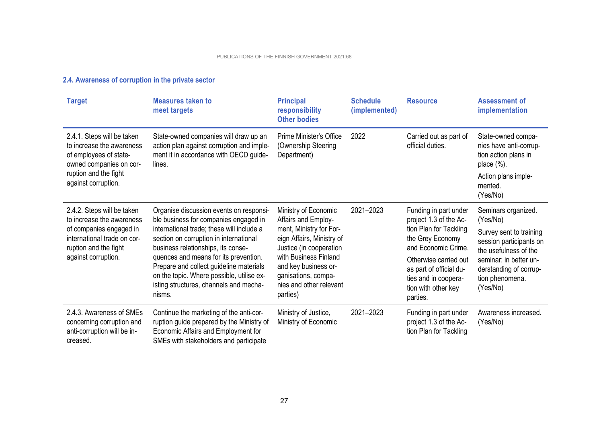| <b>Target</b>                                                                                                                                                     | <b>Measures taken to</b><br>meet targets                                                                                                                                                                                                                                                                                                                                                           | <b>Principal</b><br>responsibility<br><b>Other bodies</b>                                                                                                                                                                                     | <b>Schedule</b><br>(implemented) | <b>Resource</b>                                                                                                                                                                                                                     | <b>Assessment of</b><br>implementation                                                                                                                                                            |
|-------------------------------------------------------------------------------------------------------------------------------------------------------------------|----------------------------------------------------------------------------------------------------------------------------------------------------------------------------------------------------------------------------------------------------------------------------------------------------------------------------------------------------------------------------------------------------|-----------------------------------------------------------------------------------------------------------------------------------------------------------------------------------------------------------------------------------------------|----------------------------------|-------------------------------------------------------------------------------------------------------------------------------------------------------------------------------------------------------------------------------------|---------------------------------------------------------------------------------------------------------------------------------------------------------------------------------------------------|
| 2.4.1. Steps will be taken<br>to increase the awareness<br>of employees of state-<br>owned companies on cor-<br>ruption and the fight<br>against corruption.      | State-owned companies will draw up an<br>action plan against corruption and imple-<br>ment it in accordance with OECD guide-<br>lines.                                                                                                                                                                                                                                                             | <b>Prime Minister's Office</b><br>(Ownership Steering<br>Department)                                                                                                                                                                          | 2022                             | Carried out as part of<br>official duties.                                                                                                                                                                                          | State-owned compa-<br>nies have anti-corrup-<br>tion action plans in<br>place $(\%)$ .<br>Action plans imple-<br>mented.<br>(Yes/No)                                                              |
| 2.4.2. Steps will be taken<br>to increase the awareness<br>of companies engaged in<br>international trade on cor-<br>ruption and the fight<br>against corruption. | Organise discussion events on responsi-<br>ble business for companies engaged in<br>international trade; these will include a<br>section on corruption in international<br>business relationships, its conse-<br>quences and means for its prevention.<br>Prepare and collect guideline materials<br>on the topic. Where possible, utilise ex-<br>isting structures, channels and mecha-<br>nisms. | Ministry of Economic<br>Affairs and Employ-<br>ment, Ministry for For-<br>eign Affairs, Ministry of<br>Justice (in cooperation<br>with Business Finland<br>and key business or-<br>ganisations, compa-<br>nies and other relevant<br>parties) | 2021-2023                        | Funding in part under<br>project 1.3 of the Ac-<br>tion Plan for Tackling<br>the Grey Economy<br>and Economic Crime.<br>Otherwise carried out<br>as part of official du-<br>ties and in coopera-<br>tion with other key<br>parties. | Seminars organized.<br>(Yes/No)<br>Survey sent to training<br>session participants on<br>the usefulness of the<br>seminar: in better un-<br>derstanding of corrup-<br>tion phenomena.<br>(Yes/No) |
| 2.4.3. Awareness of SMEs<br>concerning corruption and<br>anti-corruption will be in-<br>creased.                                                                  | Continue the marketing of the anti-cor-<br>ruption guide prepared by the Ministry of<br>Economic Affairs and Employment for<br>SMEs with stakeholders and participate                                                                                                                                                                                                                              | Ministry of Justice,<br>Ministry of Economic                                                                                                                                                                                                  | 2021-2023                        | Funding in part under<br>project 1.3 of the Ac-<br>tion Plan for Tackling                                                                                                                                                           | Awareness increased.<br>(Yes/No)                                                                                                                                                                  |

## **2.4. Awareness of corruption in the private sector**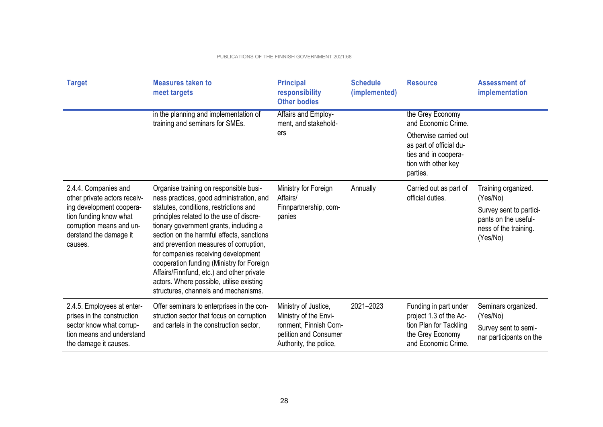| <b>Target</b>                                                                                                                                                               | <b>Measures taken to</b><br>meet targets                                                                                                                                                                                                                                                                                                                                                                                                                                                                                       | <b>Principal</b><br>responsibility<br><b>Other bodies</b>                                                                 | <b>Schedule</b><br>(implemented) | <b>Resource</b>                                                                                                                                        | <b>Assessment of</b><br>implementation                                                                                  |
|-----------------------------------------------------------------------------------------------------------------------------------------------------------------------------|--------------------------------------------------------------------------------------------------------------------------------------------------------------------------------------------------------------------------------------------------------------------------------------------------------------------------------------------------------------------------------------------------------------------------------------------------------------------------------------------------------------------------------|---------------------------------------------------------------------------------------------------------------------------|----------------------------------|--------------------------------------------------------------------------------------------------------------------------------------------------------|-------------------------------------------------------------------------------------------------------------------------|
|                                                                                                                                                                             | in the planning and implementation of<br>training and seminars for SMEs.                                                                                                                                                                                                                                                                                                                                                                                                                                                       | Affairs and Employ-<br>ment, and stakehold-<br>ers                                                                        |                                  | the Grey Economy<br>and Economic Crime.<br>Otherwise carried out<br>as part of official du-<br>ties and in coopera-<br>tion with other key<br>parties. |                                                                                                                         |
| 2.4.4. Companies and<br>other private actors receiv-<br>ing development coopera-<br>tion funding know what<br>corruption means and un-<br>derstand the damage it<br>causes. | Organise training on responsible busi-<br>ness practices, good administration, and<br>statutes, conditions, restrictions and<br>principles related to the use of discre-<br>tionary government grants, including a<br>section on the harmful effects, sanctions<br>and prevention measures of corruption,<br>for companies receiving development<br>cooperation funding (Ministry for Foreign<br>Affairs/Finnfund, etc.) and other private<br>actors. Where possible, utilise existing<br>structures, channels and mechanisms. | Ministry for Foreign<br>Affairs/<br>Finnpartnership, com-<br>panies                                                       | Annually                         | Carried out as part of<br>official duties.                                                                                                             | Training organized.<br>(Yes/No)<br>Survey sent to partici-<br>pants on the useful-<br>ness of the training.<br>(Yes/No) |
| 2.4.5. Employees at enter-<br>prises in the construction<br>sector know what corrup-<br>tion means and understand<br>the damage it causes.                                  | Offer seminars to enterprises in the con-<br>struction sector that focus on corruption<br>and cartels in the construction sector,                                                                                                                                                                                                                                                                                                                                                                                              | Ministry of Justice,<br>Ministry of the Envi-<br>ronment, Finnish Com-<br>petition and Consumer<br>Authority, the police, | 2021-2023                        | Funding in part under<br>project 1.3 of the Ac-<br>tion Plan for Tackling<br>the Grey Economy<br>and Economic Crime.                                   | Seminars organized.<br>(Yes/No)<br>Survey sent to semi-<br>nar participants on the                                      |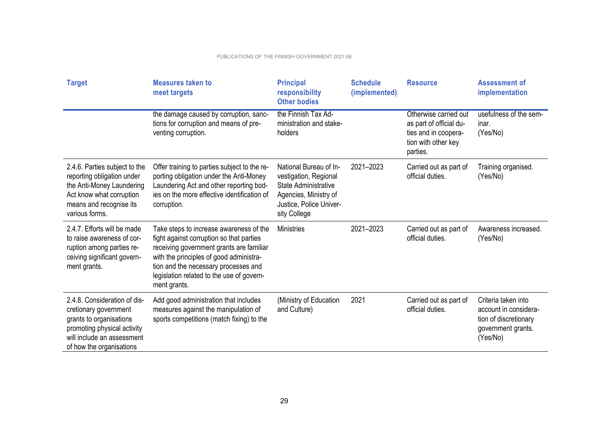| <b>Target</b>                                                                                                                                                             | <b>Measures taken to</b><br>meet targets                                                                                                                                                                                                                                        | <b>Principal</b><br>responsibility<br><b>Other bodies</b>                                                                                          | <b>Schedule</b><br>(implemented) | <b>Resource</b>                                                                                             | <b>Assessment of</b><br>implementation                                                                  |
|---------------------------------------------------------------------------------------------------------------------------------------------------------------------------|---------------------------------------------------------------------------------------------------------------------------------------------------------------------------------------------------------------------------------------------------------------------------------|----------------------------------------------------------------------------------------------------------------------------------------------------|----------------------------------|-------------------------------------------------------------------------------------------------------------|---------------------------------------------------------------------------------------------------------|
|                                                                                                                                                                           | the damage caused by corruption, sanc-<br>tions for corruption and means of pre-<br>venting corruption.                                                                                                                                                                         | the Finnish Tax Ad-<br>ministration and stake-<br>holders                                                                                          |                                  | Otherwise carried out<br>as part of official du-<br>ties and in coopera-<br>tion with other key<br>parties. | usefulness of the sem-<br>inar.<br>(Yes/No)                                                             |
| 2.4.6. Parties subject to the<br>reporting obligation under<br>the Anti-Money Laundering<br>Act know what corruption<br>means and recognise its<br>various forms.         | Offer training to parties subject to the re-<br>porting obligation under the Anti-Money<br>Laundering Act and other reporting bod-<br>ies on the more effective identification of<br>corruption.                                                                                | National Bureau of In-<br>vestigation, Regional<br><b>State Administrative</b><br>Agencies, Ministry of<br>Justice, Police Univer-<br>sity College | 2021-2023                        | Carried out as part of<br>official duties.                                                                  | Training organised.<br>(Yes/No)                                                                         |
| 2.4.7. Efforts will be made<br>to raise awareness of cor-<br>ruption among parties re-<br>ceiving significant govern-<br>ment grants.                                     | Take steps to increase awareness of the<br>fight against corruption so that parties<br>receiving government grants are familiar<br>with the principles of good administra-<br>tion and the necessary processes and<br>legislation related to the use of govern-<br>ment grants. | <b>Ministries</b>                                                                                                                                  | 2021-2023                        | Carried out as part of<br>official duties.                                                                  | Awareness increased.<br>(Yes/No)                                                                        |
| 2.4.8. Consideration of dis-<br>cretionary government<br>grants to organisations<br>promoting physical activity<br>will include an assessment<br>of how the organisations | Add good administration that includes<br>measures against the manipulation of<br>sports competitions (match fixing) to the                                                                                                                                                      | (Ministry of Education<br>and Culture)                                                                                                             | 2021                             | Carried out as part of<br>official duties.                                                                  | Criteria taken into<br>account in considera-<br>tion of discretionary<br>government grants.<br>(Yes/No) |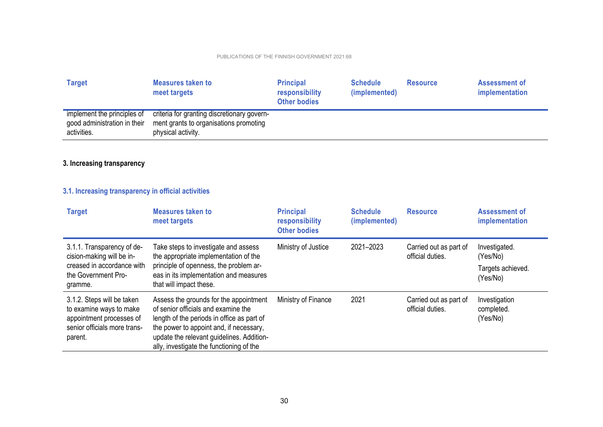| <b>Target</b>                                                              | <b>Measures taken to</b><br>meet targets                                                                    | <b>Principal</b><br>responsibility<br><b>Other bodies</b> | <b>Schedule</b><br>(implemented) | <b>Resource</b> | Assessment of<br>implementation |
|----------------------------------------------------------------------------|-------------------------------------------------------------------------------------------------------------|-----------------------------------------------------------|----------------------------------|-----------------|---------------------------------|
| implement the principles of<br>good administration in their<br>activities. | criteria for granting discretionary govern-<br>ment grants to organisations promoting<br>physical activity. |                                                           |                                  |                 |                                 |

## **3. Increasing transparency**

## **3.1. Increasing transparency in official activities**

| <b>Target</b>                                                                                                                | <b>Measures taken to</b><br>meet targets                                                                                                                                                                                                                        | <b>Principal</b><br>responsibility<br><b>Other bodies</b> | <b>Schedule</b><br>(implemented) | <b>Resource</b>                            | <b>Assessment of</b><br>implementation                     |
|------------------------------------------------------------------------------------------------------------------------------|-----------------------------------------------------------------------------------------------------------------------------------------------------------------------------------------------------------------------------------------------------------------|-----------------------------------------------------------|----------------------------------|--------------------------------------------|------------------------------------------------------------|
| 3.1.1. Transparency of de-<br>cision-making will be in-<br>creased in accordance with<br>the Government Pro-<br>gramme.      | Take steps to investigate and assess<br>the appropriate implementation of the<br>principle of openness, the problem ar-<br>eas in its implementation and measures<br>that will impact these.                                                                    | Ministry of Justice                                       | 2021-2023                        | Carried out as part of<br>official duties. | Investigated.<br>(Yes/No)<br>Targets achieved.<br>(Yes/No) |
| 3.1.2. Steps will be taken<br>to examine ways to make<br>appointment processes of<br>senior officials more trans-<br>parent. | Assess the grounds for the appointment<br>of senior officials and examine the<br>length of the periods in office as part of<br>the power to appoint and, if necessary,<br>update the relevant guidelines. Addition-<br>ally, investigate the functioning of the | Ministry of Finance                                       | 2021                             | Carried out as part of<br>official duties. | Investigation<br>completed.<br>(Yes/No)                    |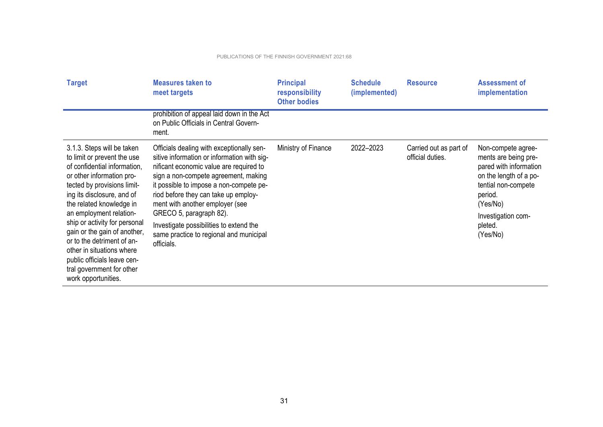| <b>Target</b>                                                                                                                                                                                                                                                                                                                                                                                                                                             | <b>Measures taken to</b><br>meet targets                                                                                                                                                                                                                                                                                                                                                                                         | <b>Principal</b><br>responsibility<br><b>Other bodies</b> | <b>Schedule</b><br>(implemented) | <b>Resource</b>                            | <b>Assessment of</b><br>implementation                                                                                                                                                    |
|-----------------------------------------------------------------------------------------------------------------------------------------------------------------------------------------------------------------------------------------------------------------------------------------------------------------------------------------------------------------------------------------------------------------------------------------------------------|----------------------------------------------------------------------------------------------------------------------------------------------------------------------------------------------------------------------------------------------------------------------------------------------------------------------------------------------------------------------------------------------------------------------------------|-----------------------------------------------------------|----------------------------------|--------------------------------------------|-------------------------------------------------------------------------------------------------------------------------------------------------------------------------------------------|
|                                                                                                                                                                                                                                                                                                                                                                                                                                                           | prohibition of appeal laid down in the Act<br>on Public Officials in Central Govern-<br>ment.                                                                                                                                                                                                                                                                                                                                    |                                                           |                                  |                                            |                                                                                                                                                                                           |
| 3.1.3. Steps will be taken<br>to limit or prevent the use<br>of confidential information.<br>or other information pro-<br>tected by provisions limit-<br>ing its disclosure, and of<br>the related knowledge in<br>an employment relation-<br>ship or activity for personal<br>gain or the gain of another,<br>or to the detriment of an-<br>other in situations where<br>public officials leave cen-<br>tral government for other<br>work opportunities. | Officials dealing with exceptionally sen-<br>sitive information or information with sig-<br>nificant economic value are required to<br>sign a non-compete agreement, making<br>it possible to impose a non-compete pe-<br>riod before they can take up employ-<br>ment with another employer (see<br>GRECO 5, paragraph 82).<br>Investigate possibilities to extend the<br>same practice to regional and municipal<br>officials. | Ministry of Finance                                       | 2022-2023                        | Carried out as part of<br>official duties. | Non-compete agree-<br>ments are being pre-<br>pared with information<br>on the length of a po-<br>tential non-compete<br>period.<br>(Yes/No)<br>Investigation com-<br>pleted.<br>(Yes/No) |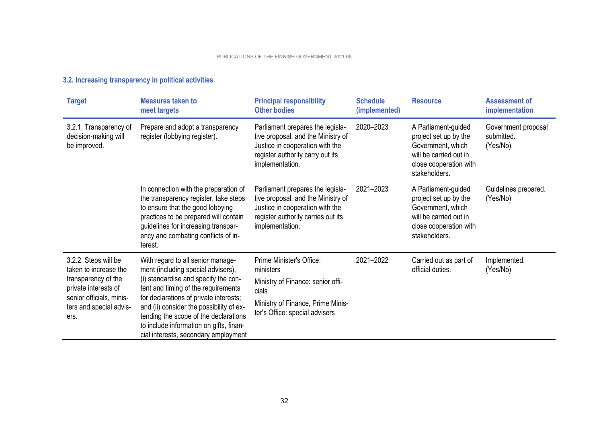| <b>Target</b>                                                                                                                                               | <b>Measures taken to</b><br>meet targets                                                                                                                                                                                                                                                                                                                                 | <b>Principal responsibility</b><br><b>Other bodies</b>                                                                                                             | <b>Schedule</b><br>(implemented) | <b>Resource</b>                                                                                                                        | <b>Assessment of</b><br>implementation        |
|-------------------------------------------------------------------------------------------------------------------------------------------------------------|--------------------------------------------------------------------------------------------------------------------------------------------------------------------------------------------------------------------------------------------------------------------------------------------------------------------------------------------------------------------------|--------------------------------------------------------------------------------------------------------------------------------------------------------------------|----------------------------------|----------------------------------------------------------------------------------------------------------------------------------------|-----------------------------------------------|
| 3.2.1. Transparency of<br>decision-making will<br>be improved.                                                                                              | Prepare and adopt a transparency<br>register (lobbying register).                                                                                                                                                                                                                                                                                                        | Parliament prepares the legisla-<br>tive proposal, and the Ministry of<br>Justice in cooperation with the<br>register authority carry out its<br>implementation.   | 2020-2023                        | A Parliament-guided<br>project set up by the<br>Government, which<br>will be carried out in<br>close cooperation with<br>stakeholders. | Government proposal<br>submitted.<br>(Yes/No) |
|                                                                                                                                                             | In connection with the preparation of<br>the transparency register, take steps<br>to ensure that the good lobbying<br>practices to be prepared will contain<br>guidelines for increasing transpar-<br>ency and combating conflicts of in-<br>terest.                                                                                                                     | Parliament prepares the legisla-<br>tive proposal, and the Ministry of<br>Justice in cooperation with the<br>register authority carries out its<br>implementation. | 2021-2023                        | A Parliament-guided<br>project set up by the<br>Government, which<br>will be carried out in<br>close cooperation with<br>stakeholders. | Guidelines prepared.<br>(Yes/No)              |
| 3.2.2. Steps will be<br>taken to increase the<br>transparency of the<br>private interests of<br>senior officials, minis-<br>ters and special advis-<br>ers. | With regard to all senior manage-<br>ment (including special advisers),<br>(i) standardise and specify the con-<br>tent and timing of the requirements<br>for declarations of private interests;<br>and (ii) consider the possibility of ex-<br>tending the scope of the declarations<br>to include information on gifts, finan-<br>cial interests, secondary employment | Prime Minister's Office:<br>ministers<br>Ministry of Finance: senior offi-<br>cials<br>Ministry of Finance, Prime Minis-<br>ter's Office: special advisers         | 2021-2022                        | Carried out as part of<br>official duties.                                                                                             | Implemented.<br>(Yes/No)                      |

### **3.2. Increasing transparency in political activities**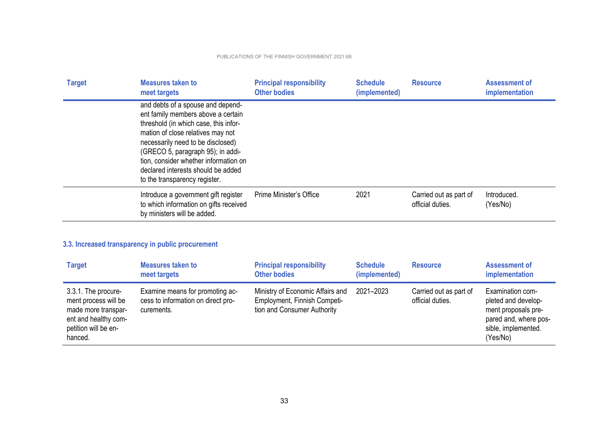| <b>Target</b> | Measures taken to<br>meet targets                                                                                                                                                                                                                                                                                                               | <b>Principal responsibility</b><br><b>Other bodies</b> | <b>Schedule</b><br>(implemented) | <b>Resource</b>                            | Assessment of<br>implementation |
|---------------|-------------------------------------------------------------------------------------------------------------------------------------------------------------------------------------------------------------------------------------------------------------------------------------------------------------------------------------------------|--------------------------------------------------------|----------------------------------|--------------------------------------------|---------------------------------|
|               | and debts of a spouse and depend-<br>ent family members above a certain<br>threshold (in which case, this infor-<br>mation of close relatives may not<br>necessarily need to be disclosed)<br>(GRECO 5, paragraph 95); in addi-<br>tion, consider whether information on<br>declared interests should be added<br>to the transparency register. |                                                        |                                  |                                            |                                 |
|               | Introduce a government gift register<br>to which information on gifts received<br>by ministers will be added.                                                                                                                                                                                                                                   | Prime Minister's Office                                | 2021                             | Carried out as part of<br>official duties. | Introduced.<br>(Yes/No)         |

## **3.3. Increased transparency in public procurement**

| <b>Target</b>                                                                                                                 | <b>Measures taken to</b><br>meet targets                                            | <b>Principal responsibility</b><br><b>Other bodies</b>                                          | <b>Schedule</b><br>(implemented) | <b>Resource</b>                            | <b>Assessment of</b><br>implementation                                                                                     |
|-------------------------------------------------------------------------------------------------------------------------------|-------------------------------------------------------------------------------------|-------------------------------------------------------------------------------------------------|----------------------------------|--------------------------------------------|----------------------------------------------------------------------------------------------------------------------------|
| 3.3.1. The procure-<br>ment process will be<br>made more transpar-<br>ent and healthy com-<br>petition will be en-<br>hanced. | Examine means for promoting ac-<br>cess to information on direct pro-<br>curements. | Ministry of Economic Affairs and<br>Employment, Finnish Competi-<br>tion and Consumer Authority | 2021-2023                        | Carried out as part of<br>official duties. | Examination com-<br>pleted and develop-<br>ment proposals pre-<br>pared and, where pos-<br>sible, implemented.<br>(Yes/No) |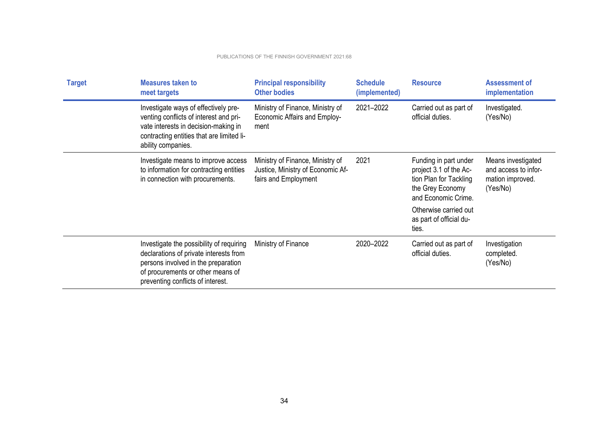| <b>Target</b> | <b>Measures taken to</b><br>meet targets                                                                                                                                                            | <b>Principal responsibility</b><br><b>Other bodies</b>                                        | <b>Schedule</b><br>(implemented) | <b>Resource</b>                                                                                                      | <b>Assessment of</b><br>implementation                                     |
|---------------|-----------------------------------------------------------------------------------------------------------------------------------------------------------------------------------------------------|-----------------------------------------------------------------------------------------------|----------------------------------|----------------------------------------------------------------------------------------------------------------------|----------------------------------------------------------------------------|
|               | Investigate ways of effectively pre-<br>venting conflicts of interest and pri-<br>vate interests in decision-making in<br>contracting entities that are limited li-<br>ability companies.           | Ministry of Finance, Ministry of<br><b>Economic Affairs and Employ-</b><br>ment               | 2021-2022                        | Carried out as part of<br>official duties.                                                                           | Investigated.<br>(Yes/No)                                                  |
|               | Investigate means to improve access<br>to information for contracting entities<br>in connection with procurements.                                                                                  | Ministry of Finance, Ministry of<br>Justice, Ministry of Economic Af-<br>fairs and Employment | 2021                             | Funding in part under<br>project 3.1 of the Ac-<br>tion Plan for Tackling<br>the Grey Economy<br>and Economic Crime. | Means investigated<br>and access to infor-<br>mation improved.<br>(Yes/No) |
|               |                                                                                                                                                                                                     |                                                                                               |                                  | Otherwise carried out<br>as part of official du-<br>ties.                                                            |                                                                            |
|               | Investigate the possibility of requiring<br>declarations of private interests from<br>persons involved in the preparation<br>of procurements or other means of<br>preventing conflicts of interest. | Ministry of Finance                                                                           | 2020-2022                        | Carried out as part of<br>official duties.                                                                           | Investigation<br>completed.<br>(Yes/No)                                    |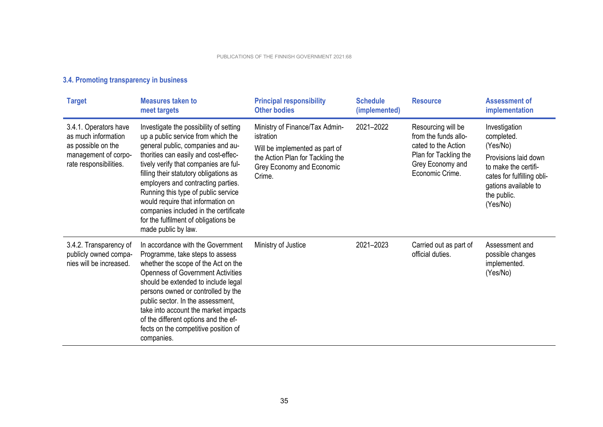## **3.4. Promoting transparency in business**

| <b>Target</b>                                                                                                        | <b>Measures taken to</b><br>meet targets                                                                                                                                                                                                                                                                                                                                                                                                                               | <b>Principal responsibility</b><br><b>Other bodies</b>                                                                                                   | <b>Schedule</b><br>(implemented) | <b>Resource</b>                                                                                                                   | <b>Assessment of</b><br>implementation                                                                                                                                   |
|----------------------------------------------------------------------------------------------------------------------|------------------------------------------------------------------------------------------------------------------------------------------------------------------------------------------------------------------------------------------------------------------------------------------------------------------------------------------------------------------------------------------------------------------------------------------------------------------------|----------------------------------------------------------------------------------------------------------------------------------------------------------|----------------------------------|-----------------------------------------------------------------------------------------------------------------------------------|--------------------------------------------------------------------------------------------------------------------------------------------------------------------------|
| 3.4.1. Operators have<br>as much information<br>as possible on the<br>management of corpo-<br>rate responsibilities. | Investigate the possibility of setting<br>up a public service from which the<br>general public, companies and au-<br>thorities can easily and cost-effec-<br>tively verify that companies are ful-<br>filling their statutory obligations as<br>employers and contracting parties.<br>Running this type of public service<br>would require that information on<br>companies included in the certificate<br>for the fulfilment of obligations be<br>made public by law. | Ministry of Finance/Tax Admin-<br>istration<br>Will be implemented as part of<br>the Action Plan for Tackling the<br>Grey Economy and Economic<br>Crime. | 2021-2022                        | Resourcing will be<br>from the funds allo-<br>cated to the Action<br>Plan for Tackling the<br>Grey Economy and<br>Economic Crime. | Investigation<br>completed.<br>(Yes/No)<br>Provisions laid down<br>to make the certifi-<br>cates for fulfilling obli-<br>gations available to<br>the public.<br>(Yes/No) |
| 3.4.2. Transparency of<br>publicly owned compa-<br>nies will be increased.                                           | In accordance with the Government<br>Programme, take steps to assess<br>whether the scope of the Act on the<br><b>Openness of Government Activities</b><br>should be extended to include legal<br>persons owned or controlled by the<br>public sector. In the assessment,<br>take into account the market impacts<br>of the different options and the ef-<br>fects on the competitive position of<br>companies.                                                        | Ministry of Justice                                                                                                                                      | 2021-2023                        | Carried out as part of<br>official duties.                                                                                        | Assessment and<br>possible changes<br>implemented.<br>(Yes/No)                                                                                                           |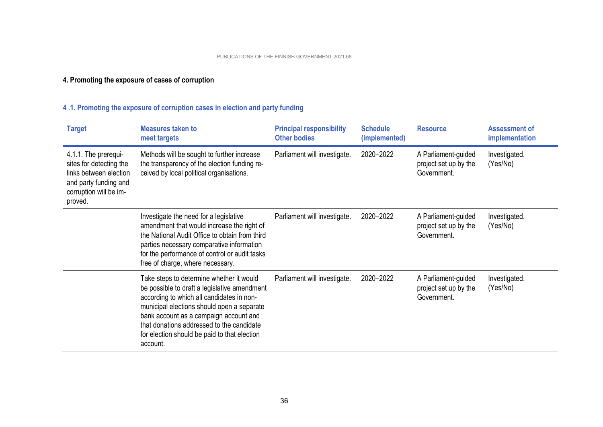## **4. Promoting the exposure of cases of corruption**

## **4 .1. Promoting the exposure of corruption cases in election and party funding**

| <b>Target</b>                                                                                                                           | <b>Measures taken to</b><br>meet targets                                                                                                                                                                                                                                                                                               | <b>Principal responsibility</b><br><b>Other bodies</b> | <b>Schedule</b><br>(implemented) | <b>Resource</b>                                             | <b>Assessment of</b><br>implementation |
|-----------------------------------------------------------------------------------------------------------------------------------------|----------------------------------------------------------------------------------------------------------------------------------------------------------------------------------------------------------------------------------------------------------------------------------------------------------------------------------------|--------------------------------------------------------|----------------------------------|-------------------------------------------------------------|----------------------------------------|
| 4.1.1. The prerequi-<br>sites for detecting the<br>links between election<br>and party funding and<br>corruption will be im-<br>proved. | Methods will be sought to further increase<br>the transparency of the election funding re-<br>ceived by local political organisations.                                                                                                                                                                                                 | Parliament will investigate.                           | 2020-2022                        | A Parliament-guided<br>project set up by the<br>Government. | Investigated.<br>(Yes/No)              |
|                                                                                                                                         | Investigate the need for a legislative<br>amendment that would increase the right of<br>the National Audit Office to obtain from third<br>parties necessary comparative information<br>for the performance of control or audit tasks<br>free of charge, where necessary.                                                               | Parliament will investigate.                           | 2020-2022                        | A Parliament-guided<br>project set up by the<br>Government. | Investigated.<br>(Yes/No)              |
|                                                                                                                                         | Take steps to determine whether it would<br>be possible to draft a legislative amendment<br>according to which all candidates in non-<br>municipal elections should open a separate<br>bank account as a campaign account and<br>that donations addressed to the candidate<br>for election should be paid to that election<br>account. | Parliament will investigate.                           | 2020-2022                        | A Parliament-guided<br>project set up by the<br>Government. | Investigated.<br>(Yes/No)              |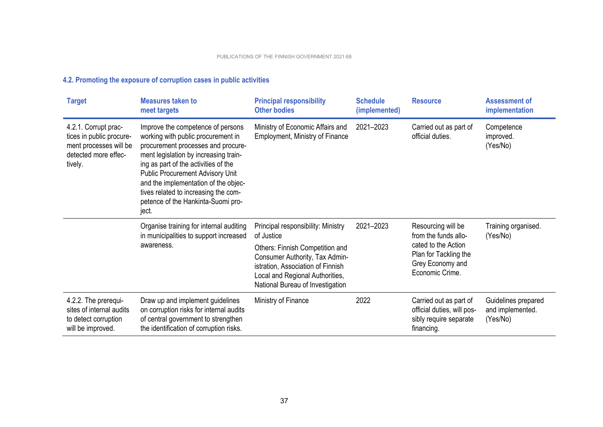## **4.2. Promoting the exposure of corruption cases in public activities**

| <b>Target</b>                                                                                                 | <b>Measures taken to</b><br>meet targets                                                                                                                                                                                                                                                                                                                                 | <b>Principal responsibility</b><br><b>Other bodies</b>                                                                                                                        | <b>Schedule</b><br>(implemented)                             | <b>Resource</b>                                                                              | <b>Assessment of</b><br>implementation              |
|---------------------------------------------------------------------------------------------------------------|--------------------------------------------------------------------------------------------------------------------------------------------------------------------------------------------------------------------------------------------------------------------------------------------------------------------------------------------------------------------------|-------------------------------------------------------------------------------------------------------------------------------------------------------------------------------|--------------------------------------------------------------|----------------------------------------------------------------------------------------------|-----------------------------------------------------|
| 4.2.1. Corrupt prac-<br>tices in public procure-<br>ment processes will be<br>detected more effec-<br>tively. | Improve the competence of persons<br>working with public procurement in<br>procurement processes and procure-<br>ment legislation by increasing train-<br>ing as part of the activities of the<br><b>Public Procurement Advisory Unit</b><br>and the implementation of the objec-<br>tives related to increasing the com-<br>petence of the Hankinta-Suomi pro-<br>ject. | Ministry of Economic Affairs and<br><b>Employment, Ministry of Finance</b>                                                                                                    | 2021-2023                                                    | Carried out as part of<br>official duties.                                                   | Competence<br>improved.<br>(Yes/No)                 |
|                                                                                                               | Organise training for internal auditing<br>in municipalities to support increased                                                                                                                                                                                                                                                                                        | Principal responsibility: Ministry<br>of Justice                                                                                                                              | 2021-2023                                                    | Resourcing will be<br>from the funds allo-                                                   | Training organised.<br>(Yes/No)                     |
|                                                                                                               | awareness.                                                                                                                                                                                                                                                                                                                                                               | Others: Finnish Competition and<br>Consumer Authority, Tax Admin-<br>istration, Association of Finnish<br>Local and Regional Authorities,<br>National Bureau of Investigation | Plan for Tackling the<br>Grey Economy and<br>Economic Crime. | cated to the Action                                                                          |                                                     |
| 4.2.2. The prerequi-<br>sites of internal audits<br>to detect corruption<br>will be improved.                 | Draw up and implement guidelines<br>on corruption risks for internal audits<br>of central government to strengthen<br>the identification of corruption risks.                                                                                                                                                                                                            | Ministry of Finance                                                                                                                                                           | 2022                                                         | Carried out as part of<br>official duties, will pos-<br>sibly require separate<br>financing. | Guidelines prepared<br>and implemented.<br>(Yes/No) |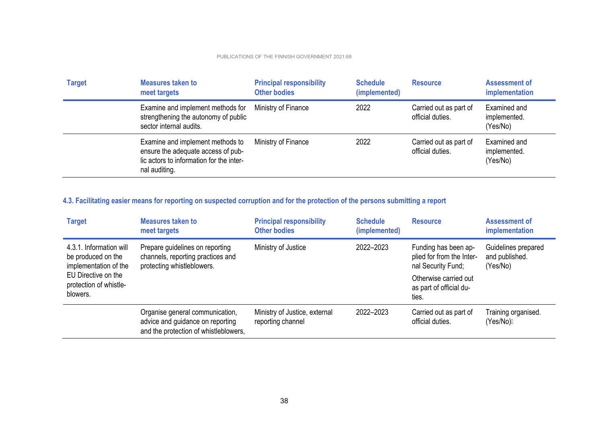| <b>Target</b> | <b>Measures taken to</b><br>meet targets                                                                                            | <b>Principal responsibility</b><br><b>Other bodies</b> | <b>Schedule</b><br>(implemented) | <b>Resource</b>                            | Assessment of<br>implementation          |
|---------------|-------------------------------------------------------------------------------------------------------------------------------------|--------------------------------------------------------|----------------------------------|--------------------------------------------|------------------------------------------|
|               | Examine and implement methods for<br>strengthening the autonomy of public<br>sector internal audits.                                | Ministry of Finance                                    | 2022                             | Carried out as part of<br>official duties. | Examined and<br>implemented.<br>(Yes/No) |
|               | Examine and implement methods to<br>ensure the adequate access of pub-<br>lic actors to information for the inter-<br>nal auditing. | Ministry of Finance                                    | 2022                             | Carried out as part of<br>official duties. | Examined and<br>implemented.<br>(Yes/No) |

## **4.3. Facilitating easier means for reporting on suspected corruption and for the protection of the persons submitting a report**

| <b>Target</b>                                                                                                                       | Measures taken to<br>meet targets                                                                            | <b>Principal responsibility</b><br><b>Other bodies</b> | <b>Schedule</b><br>(implemented) | <b>Resource</b>                                                         | <b>Assessment of</b><br>implementation            |
|-------------------------------------------------------------------------------------------------------------------------------------|--------------------------------------------------------------------------------------------------------------|--------------------------------------------------------|----------------------------------|-------------------------------------------------------------------------|---------------------------------------------------|
| 4.3.1. Information will<br>be produced on the<br>implementation of the<br>EU Directive on the<br>protection of whistle-<br>blowers. | Prepare guidelines on reporting<br>channels, reporting practices and<br>protecting whistleblowers.           | Ministry of Justice                                    | 2022-2023                        | Funding has been ap-<br>plied for from the Inter-<br>nal Security Fund; | Guidelines prepared<br>and published.<br>(Yes/No) |
|                                                                                                                                     |                                                                                                              |                                                        |                                  | Otherwise carried out<br>as part of official du-<br>ties.               |                                                   |
|                                                                                                                                     | Organise general communication,<br>advice and guidance on reporting<br>and the protection of whistleblowers, | Ministry of Justice, external<br>reporting channel     | 2022-2023                        | Carried out as part of<br>official duties.                              | Training organised.<br>(Yes/No)⊟                  |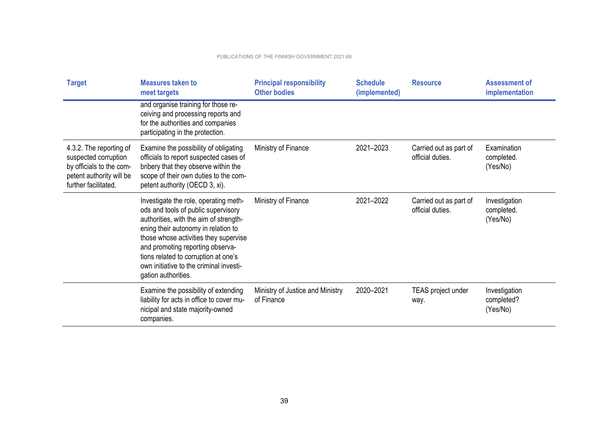| <b>Target</b>                                                                                                                   | <b>Measures taken to</b><br>meet targets                                                                                                                                                                                                                                                                                                             | <b>Principal responsibility</b><br><b>Other bodies</b> | <b>Schedule</b><br>(implemented) | <b>Resource</b>                            | <b>Assessment of</b><br>implementation  |
|---------------------------------------------------------------------------------------------------------------------------------|------------------------------------------------------------------------------------------------------------------------------------------------------------------------------------------------------------------------------------------------------------------------------------------------------------------------------------------------------|--------------------------------------------------------|----------------------------------|--------------------------------------------|-----------------------------------------|
|                                                                                                                                 | and organise training for those re-<br>ceiving and processing reports and<br>for the authorities and companies<br>participating in the protection.                                                                                                                                                                                                   |                                                        |                                  |                                            |                                         |
| 4.3.2. The reporting of<br>suspected corruption<br>by officials to the com-<br>petent authority will be<br>further facilitated. | Examine the possibility of obligating<br>officials to report suspected cases of<br>bribery that they observe within the<br>scope of their own duties to the com-<br>petent authority (OECD 3, xi).                                                                                                                                                   | Ministry of Finance                                    | 2021-2023                        | Carried out as part of<br>official duties. | Examination<br>completed.<br>(Yes/No)   |
|                                                                                                                                 | Investigate the role, operating meth-<br>ods and tools of public supervisory<br>authorities, with the aim of strength-<br>ening their autonomy in relation to<br>those whose activities they supervise<br>and promoting reporting observa-<br>tions related to corruption at one's<br>own initiative to the criminal investi-<br>gation authorities. | Ministry of Finance                                    | 2021-2022                        | Carried out as part of<br>official duties. | Investigation<br>completed.<br>(Yes/No) |
|                                                                                                                                 | Examine the possibility of extending<br>liability for acts in office to cover mu-<br>nicipal and state majority-owned<br>companies.                                                                                                                                                                                                                  | Ministry of Justice and Ministry<br>of Finance         | 2020-2021                        | TEAS project under<br>way.                 | Investigation<br>completed?<br>(Yes/No) |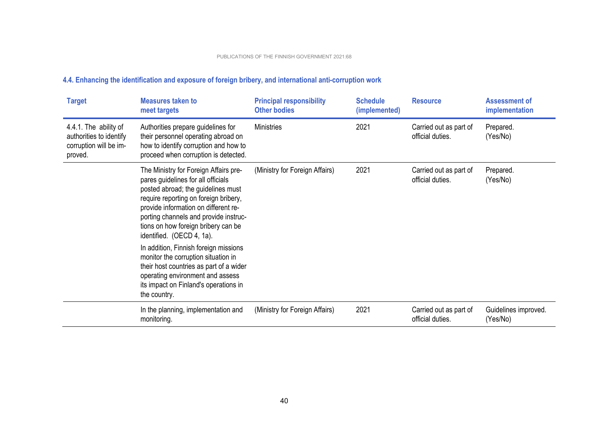| <b>Target</b>                                                                         | <b>Measures taken to</b><br>meet targets                                                                                                                                                                                                                                                                                                                                                                                                   | <b>Principal responsibility</b><br><b>Other bodies</b> | <b>Schedule</b><br>(implemented) | <b>Resource</b>                            | <b>Assessment of</b><br>implementation |
|---------------------------------------------------------------------------------------|--------------------------------------------------------------------------------------------------------------------------------------------------------------------------------------------------------------------------------------------------------------------------------------------------------------------------------------------------------------------------------------------------------------------------------------------|--------------------------------------------------------|----------------------------------|--------------------------------------------|----------------------------------------|
| 4.4.1. The ability of<br>authorities to identify<br>corruption will be im-<br>proved. | Authorities prepare guidelines for<br>their personnel operating abroad on<br>how to identify corruption and how to<br>proceed when corruption is detected.                                                                                                                                                                                                                                                                                 | <b>Ministries</b>                                      | 2021                             | Carried out as part of<br>official duties. | Prepared.<br>(Yes/No)                  |
|                                                                                       | The Ministry for Foreign Affairs pre-<br>pares guidelines for all officials<br>posted abroad; the guidelines must<br>require reporting on foreign bribery,<br>provide information on different re-<br>porting channels and provide instruc-<br>tions on how foreign bribery can be<br>identified. (OECD 4, 1a).<br>In addition, Finnish foreign missions<br>monitor the corruption situation in<br>their host countries as part of a wider | (Ministry for Foreign Affairs)                         | 2021                             | Carried out as part of<br>official duties. | Prepared.<br>(Yes/No)                  |
|                                                                                       | operating environment and assess<br>its impact on Finland's operations in<br>the country.                                                                                                                                                                                                                                                                                                                                                  |                                                        |                                  |                                            |                                        |
|                                                                                       | In the planning, implementation and<br>monitoring.                                                                                                                                                                                                                                                                                                                                                                                         | (Ministry for Foreign Affairs)                         | 2021                             | Carried out as part of<br>official duties. | Guidelines improved.<br>(Yes/No)       |

## **4.4. Enhancing the identification and exposure of foreign bribery, and international anti-corruption work**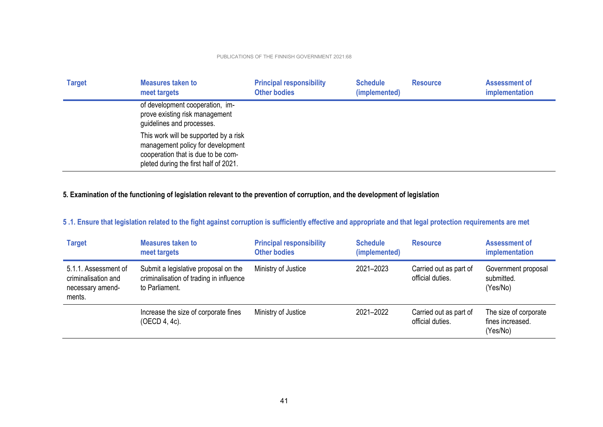| <b>Target</b> | <b>Measures taken to</b><br>meet targets                                                                                                                  | <b>Principal responsibility</b><br><b>Other bodies</b> | <b>Schedule</b><br>(implemented) | <b>Resource</b> | <b>Assessment of</b><br>implementation |
|---------------|-----------------------------------------------------------------------------------------------------------------------------------------------------------|--------------------------------------------------------|----------------------------------|-----------------|----------------------------------------|
|               | of development cooperation, im-<br>prove existing risk management<br>guidelines and processes.                                                            |                                                        |                                  |                 |                                        |
|               | This work will be supported by a risk<br>management policy for development<br>cooperation that is due to be com-<br>pleted during the first half of 2021. |                                                        |                                  |                 |                                        |

### **5. Examination of the functioning of legislation relevant to the prevention of corruption, and the development of legislation**

## **5 .1. Ensure that legislation related to the fight against corruption is sufficiently effective and appropriate and that legal protection requirements are met**

| <b>Target</b>                                                             | <b>Measures taken to</b><br>meet targets                                                          | <b>Principal responsibility</b><br><b>Other bodies</b> | <b>Schedule</b><br>(implemented) | <b>Resource</b>                            | Assessment of<br>implementation                       |
|---------------------------------------------------------------------------|---------------------------------------------------------------------------------------------------|--------------------------------------------------------|----------------------------------|--------------------------------------------|-------------------------------------------------------|
| 5.1.1. Assessment of<br>criminalisation and<br>necessary amend-<br>ments. | Submit a legislative proposal on the<br>criminalisation of trading in influence<br>to Parliament. | Ministry of Justice                                    | 2021-2023                        | Carried out as part of<br>official duties. | Government proposal<br>submitted.<br>(Yes/No)         |
|                                                                           | Increase the size of corporate fines<br>(OECD 4, 4c).                                             | Ministry of Justice                                    | 2021-2022                        | Carried out as part of<br>official duties. | The size of corporate<br>fines increased.<br>(Yes/No) |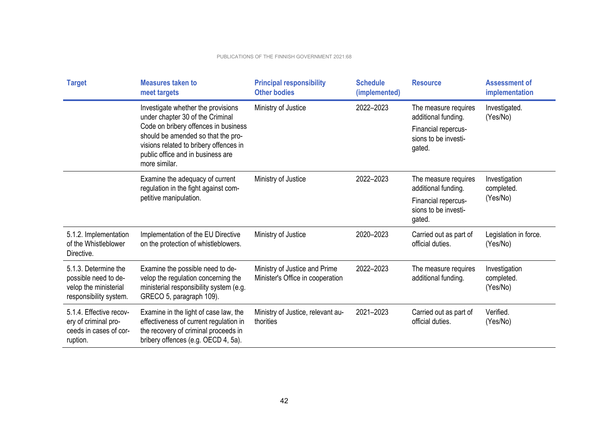| <b>Target</b>                                                                                   | <b>Measures taken to</b><br>meet targets                                                                                                                                                                                                             | <b>Principal responsibility</b><br><b>Other bodies</b>            | <b>Schedule</b><br>(implemented) | <b>Resource</b>                                                                                      | <b>Assessment of</b><br>implementation  |
|-------------------------------------------------------------------------------------------------|------------------------------------------------------------------------------------------------------------------------------------------------------------------------------------------------------------------------------------------------------|-------------------------------------------------------------------|----------------------------------|------------------------------------------------------------------------------------------------------|-----------------------------------------|
|                                                                                                 | Investigate whether the provisions<br>under chapter 30 of the Criminal<br>Code on bribery offences in business<br>should be amended so that the pro-<br>visions related to bribery offences in<br>public office and in business are<br>more similar. | Ministry of Justice                                               | 2022-2023                        | The measure requires<br>additional funding.<br>Financial repercus-<br>sions to be investi-<br>gated. | Investigated.<br>(Yes/No)               |
|                                                                                                 | Examine the adequacy of current<br>regulation in the fight against com-<br>petitive manipulation.                                                                                                                                                    | Ministry of Justice                                               | 2022-2023                        | The measure requires<br>additional funding.<br>Financial repercus-<br>sions to be investi-<br>gated. | Investigation<br>completed.<br>(Yes/No) |
| 5.1.2. Implementation<br>of the Whistleblower<br>Directive.                                     | Implementation of the EU Directive<br>on the protection of whistleblowers.                                                                                                                                                                           | Ministry of Justice                                               | 2020-2023                        | Carried out as part of<br>official duties.                                                           | Legislation in force.<br>(Yes/No)       |
| 5.1.3. Determine the<br>possible need to de-<br>velop the ministerial<br>responsibility system. | Examine the possible need to de-<br>velop the regulation concerning the<br>ministerial responsibility system (e.g.<br>GRECO 5, paragraph 109).                                                                                                       | Ministry of Justice and Prime<br>Minister's Office in cooperation | 2022-2023                        | The measure requires<br>additional funding.                                                          | Investigation<br>completed.<br>(Yes/No) |
| 5.1.4. Effective recov-<br>ery of criminal pro-<br>ceeds in cases of cor-<br>ruption.           | Examine in the light of case law, the<br>effectiveness of current regulation in<br>the recovery of criminal proceeds in<br>bribery offences (e.g. OECD 4, 5a).                                                                                       | Ministry of Justice, relevant au-<br>thorities                    | 2021-2023                        | Carried out as part of<br>official duties.                                                           | Verified.<br>(Yes/No)                   |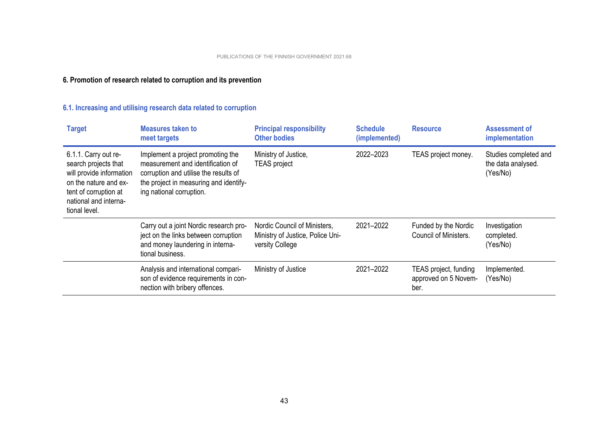## **6. Promotion of research related to corruption and its prevention**

## **6.1. Increasing and utilising research data related to corruption**

| <b>Target</b>                                                                                                                                                        | <b>Measures taken to</b><br>meet targets                                                                                                                                              | <b>Principal responsibility</b><br><b>Other bodies</b>                              | <b>Schedule</b><br>(implemented) | <b>Resource</b>                                       | Assessment of<br>implementation                         |
|----------------------------------------------------------------------------------------------------------------------------------------------------------------------|---------------------------------------------------------------------------------------------------------------------------------------------------------------------------------------|-------------------------------------------------------------------------------------|----------------------------------|-------------------------------------------------------|---------------------------------------------------------|
| 6.1.1. Carry out re-<br>search projects that<br>will provide information<br>on the nature and ex-<br>tent of corruption at<br>national and interna-<br>tional level. | Implement a project promoting the<br>measurement and identification of<br>corruption and utilise the results of<br>the project in measuring and identify-<br>ing national corruption. | Ministry of Justice,<br><b>TEAS</b> project                                         | 2022-2023                        | TEAS project money.                                   | Studies completed and<br>the data analysed.<br>(Yes/No) |
|                                                                                                                                                                      | Carry out a joint Nordic research pro-<br>ject on the links between corruption<br>and money laundering in interna-<br>tional business.                                                | Nordic Council of Ministers,<br>Ministry of Justice, Police Uni-<br>versity College | 2021-2022                        | Funded by the Nordic<br>Council of Ministers.         | Investigation<br>completed.<br>(Yes/No)                 |
|                                                                                                                                                                      | Analysis and international compari-<br>son of evidence requirements in con-<br>nection with bribery offences.                                                                         | Ministry of Justice                                                                 | 2021-2022                        | TEAS project, funding<br>approved on 5 Novem-<br>ber. | Implemented.<br>(Yes/No)                                |